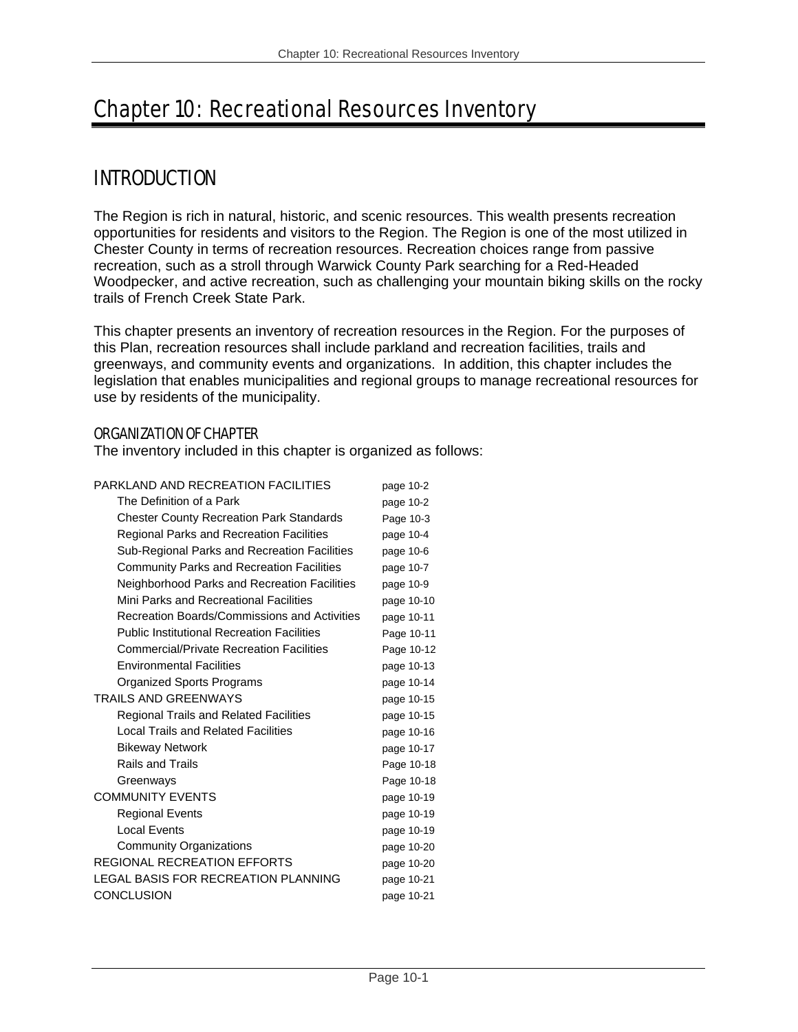# Chapter 10: Recreational Resources Inventory

# INTRODUCTION

The Region is rich in natural, historic, and scenic resources. This wealth presents recreation opportunities for residents and visitors to the Region. The Region is one of the most utilized in Chester County in terms of recreation resources. Recreation choices range from passive recreation, such as a stroll through Warwick County Park searching for a Red-Headed Woodpecker, and active recreation, such as challenging your mountain biking skills on the rocky trails of French Creek State Park.

This chapter presents an inventory of recreation resources in the Region. For the purposes of this Plan, recreation resources shall include parkland and recreation facilities, trails and greenways, and community events and organizations. In addition, this chapter includes the legislation that enables municipalities and regional groups to manage recreational resources for use by residents of the municipality.

### ORGANIZATION OF CHAPTER

The inventory included in this chapter is organized as follows:

| PARKLAND AND RECREATION FACILITIES                | page 10-2  |
|---------------------------------------------------|------------|
| The Definition of a Park                          | page 10-2  |
| <b>Chester County Recreation Park Standards</b>   | Page 10-3  |
| Regional Parks and Recreation Facilities          | page 10-4  |
| Sub-Regional Parks and Recreation Facilities      | page 10-6  |
| <b>Community Parks and Recreation Facilities</b>  | page 10-7  |
| Neighborhood Parks and Recreation Facilities      | page 10-9  |
| Mini Parks and Recreational Facilities            | page 10-10 |
| Recreation Boards/Commissions and Activities      | page 10-11 |
| <b>Public Institutional Recreation Facilities</b> | Page 10-11 |
| <b>Commercial/Private Recreation Facilities</b>   | Page 10-12 |
| <b>Environmental Facilities</b>                   | page 10-13 |
| Organized Sports Programs                         | page 10-14 |
| <b>TRAILS AND GREENWAYS</b>                       | page 10-15 |
| <b>Regional Trails and Related Facilities</b>     | page 10-15 |
| <b>Local Trails and Related Facilities</b>        | page 10-16 |
| <b>Bikeway Network</b>                            | page 10-17 |
| <b>Rails and Trails</b>                           | Page 10-18 |
| Greenways                                         | Page 10-18 |
| <b>COMMUNITY EVENTS</b>                           | page 10-19 |
| <b>Regional Events</b>                            | page 10-19 |
| Local Events                                      | page 10-19 |
| <b>Community Organizations</b>                    | page 10-20 |
| REGIONAL RECREATION EFFORTS                       | page 10-20 |
| <b>LEGAL BASIS FOR RECREATION PLANNING</b>        | page 10-21 |
| <b>CONCLUSION</b>                                 | page 10-21 |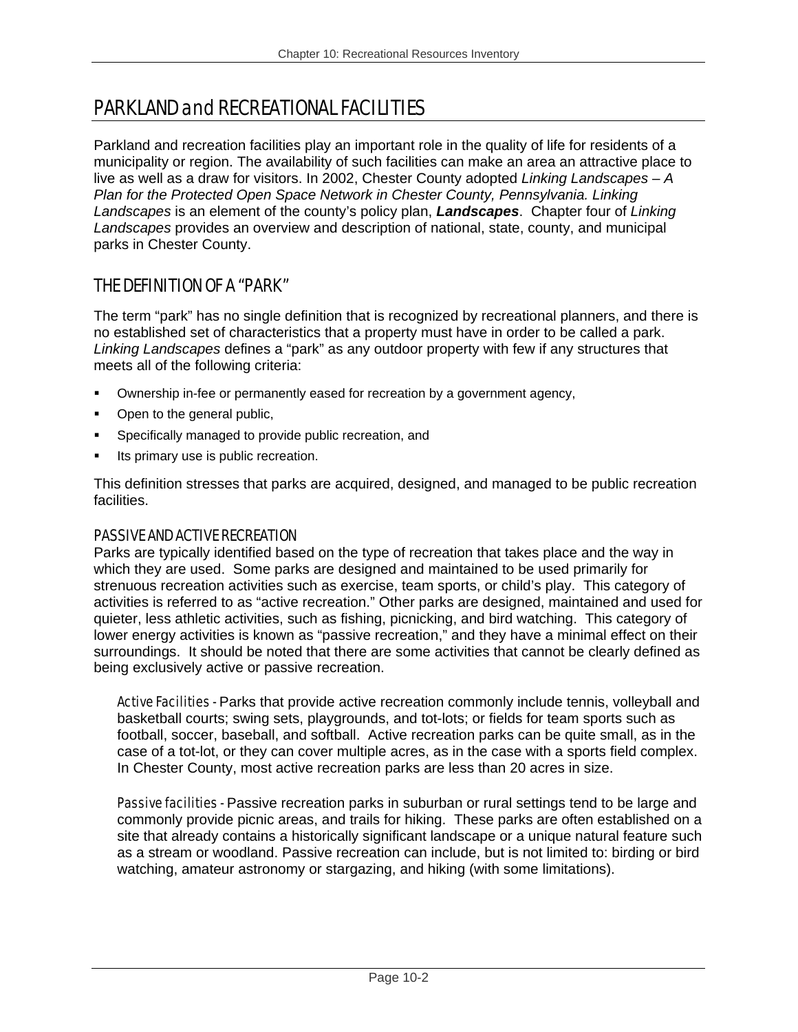# PARKLAND and RECREATIONAL FACILITIES

Parkland and recreation facilities play an important role in the quality of life for residents of a municipality or region. The availability of such facilities can make an area an attractive place to live as well as a draw for visitors. In 2002, Chester County adopted *Linking Landscapes* – *A Plan for the Protected Open Space Network in Chester County, Pennsylvania. Linking Landscapes* is an element of the county's policy plan, *Landscapes*. Chapter four of *Linking Landscapes* provides an overview and description of national, state, county, and municipal parks in Chester County.

## THE DEFINITION OF A "PARK"

The term "park" has no single definition that is recognized by recreational planners, and there is no established set of characteristics that a property must have in order to be called a park. *Linking Landscapes* defines a "park" as any outdoor property with few if any structures that meets all of the following criteria:

- Ownership in-fee or permanently eased for recreation by a government agency,
- Open to the general public,
- **Specifically managed to provide public recreation, and**
- Its primary use is public recreation.

This definition stresses that parks are acquired, designed, and managed to be public recreation facilities.

#### PASSIVE AND ACTIVE RECREATION

Parks are typically identified based on the type of recreation that takes place and the way in which they are used. Some parks are designed and maintained to be used primarily for strenuous recreation activities such as exercise, team sports, or child's play. This category of activities is referred to as "active recreation." Other parks are designed, maintained and used for quieter, less athletic activities, such as fishing, picnicking, and bird watching. This category of lower energy activities is known as "passive recreation," and they have a minimal effect on their surroundings. It should be noted that there are some activities that cannot be clearly defined as being exclusively active or passive recreation.

Active Facilities - Parks that provide active recreation commonly include tennis, volleyball and basketball courts; swing sets, playgrounds, and tot-lots; or fields for team sports such as football, soccer, baseball, and softball. Active recreation parks can be quite small, as in the case of a tot-lot, or they can cover multiple acres, as in the case with a sports field complex. In Chester County, most active recreation parks are less than 20 acres in size.

Passive facilities - Passive recreation parks in suburban or rural settings tend to be large and commonly provide picnic areas, and trails for hiking. These parks are often established on a site that already contains a historically significant landscape or a unique natural feature such as a stream or woodland. Passive recreation can include, but is not limited to: birding or bird watching, amateur astronomy or stargazing, and hiking (with some limitations).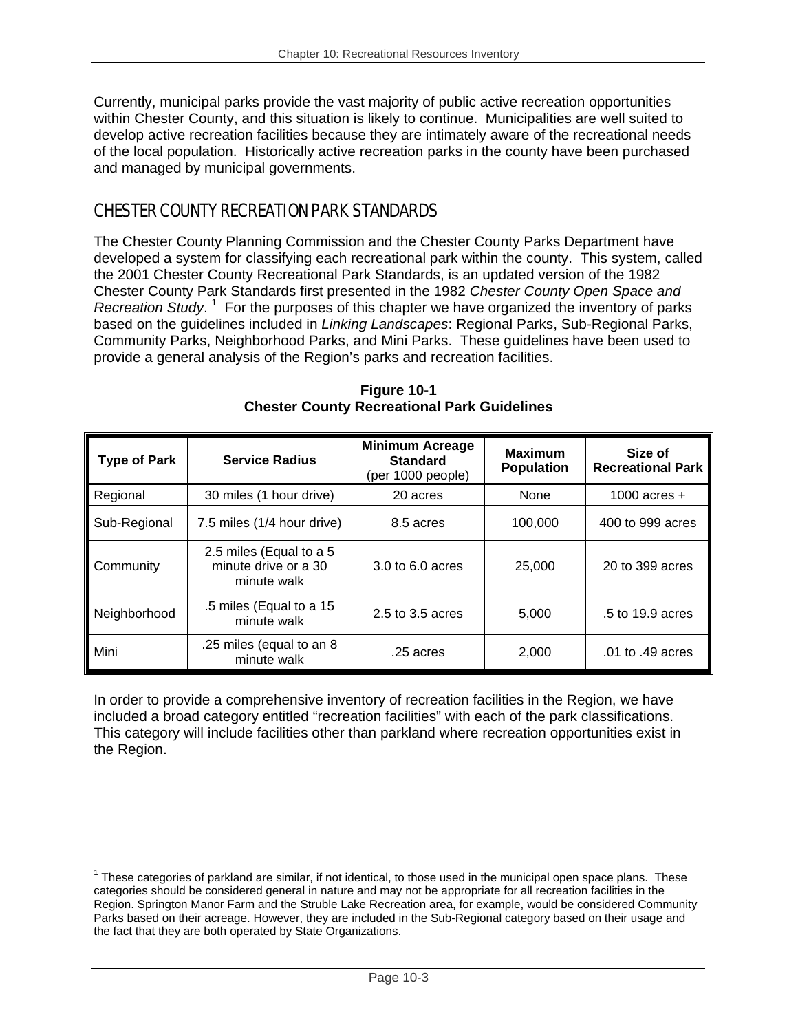Currently, municipal parks provide the vast majority of public active recreation opportunities within Chester County, and this situation is likely to continue. Municipalities are well suited to develop active recreation facilities because they are intimately aware of the recreational needs of the local population. Historically active recreation parks in the county have been purchased and managed by municipal governments.

## CHESTER COUNTY RECREATION PARK STANDARDS

1

The Chester County Planning Commission and the Chester County Parks Department have developed a system for classifying each recreational park within the county. This system, called the 2001 Chester County Recreational Park Standards, is an updated version of the 1982 Chester County Park Standards first presented in the 1982 *Chester County Open Space and*  Recreation Study.<sup>1</sup> For the purposes of this chapter we have organized the inventory of parks based on the guidelines included in *Linking Landscapes*: Regional Parks, Sub-Regional Parks, Community Parks, Neighborhood Parks, and Mini Parks. These guidelines have been used to provide a general analysis of the Region's parks and recreation facilities.

| <b>Type of Park</b> | <b>Service Radius</b>                                          | <b>Minimum Acreage</b><br><b>Standard</b><br>(per 1000 people) | <b>Maximum</b><br><b>Population</b> | Size of<br><b>Recreational Park</b> |
|---------------------|----------------------------------------------------------------|----------------------------------------------------------------|-------------------------------------|-------------------------------------|
| Regional            | 30 miles (1 hour drive)                                        | 20 acres                                                       | None                                | 1000 acres $+$                      |
| Sub-Regional        | 7.5 miles (1/4 hour drive)                                     | 8.5 acres                                                      | 100,000                             | 400 to 999 acres                    |
| Community           | 2.5 miles (Equal to a 5<br>minute drive or a 30<br>minute walk | 3.0 to 6.0 acres                                               | 25,000                              | 20 to 399 acres                     |
| Neighborhood        | .5 miles (Equal to a 15<br>minute walk                         | 2.5 to 3.5 acres                                               | 5,000                               | .5 to 19.9 acres                    |
| Mini                | .25 miles (equal to an 8<br>minute walk                        | .25 acres                                                      | 2,000                               | .01 to .49 acres                    |

**Figure 10-1 Chester County Recreational Park Guidelines** 

In order to provide a comprehensive inventory of recreation facilities in the Region, we have included a broad category entitled "recreation facilities" with each of the park classifications. This category will include facilities other than parkland where recreation opportunities exist in the Region.

 $1$  These categories of parkland are similar, if not identical, to those used in the municipal open space plans. These categories should be considered general in nature and may not be appropriate for all recreation facilities in the Region. Springton Manor Farm and the Struble Lake Recreation area, for example, would be considered Community Parks based on their acreage. However, they are included in the Sub-Regional category based on their usage and the fact that they are both operated by State Organizations.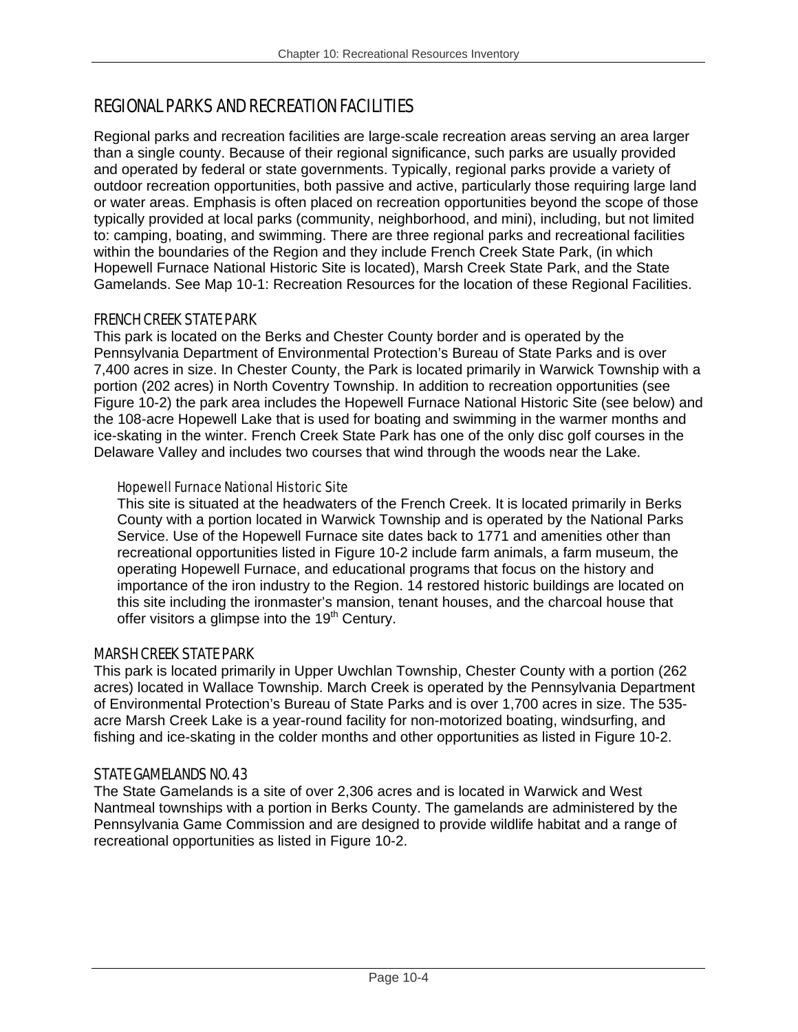## REGIONAL PARKS AND RECREATION FACILITIES

Regional parks and recreation facilities are large-scale recreation areas serving an area larger than a single county. Because of their regional significance, such parks are usually provided and operated by federal or state governments. Typically, regional parks provide a variety of outdoor recreation opportunities, both passive and active, particularly those requiring large land or water areas. Emphasis is often placed on recreation opportunities beyond the scope of those typically provided at local parks (community, neighborhood, and mini), including, but not limited to: camping, boating, and swimming. There are three regional parks and recreational facilities within the boundaries of the Region and they include French Creek State Park, (in which Hopewell Furnace National Historic Site is located), Marsh Creek State Park, and the State Gamelands. See Map 10-1: Recreation Resources for the location of these Regional Facilities.

#### FRENCH CREEK STATE PARK

This park is located on the Berks and Chester County border and is operated by the Pennsylvania Department of Environmental Protection's Bureau of State Parks and is over 7,400 acres in size. In Chester County, the Park is located primarily in Warwick Township with a portion (202 acres) in North Coventry Township. In addition to recreation opportunities (see Figure 10-2) the park area includes the Hopewell Furnace National Historic Site (see below) and the 108-acre Hopewell Lake that is used for boating and swimming in the warmer months and ice-skating in the winter. French Creek State Park has one of the only disc golf courses in the Delaware Valley and includes two courses that wind through the woods near the Lake.

#### Hopewell Furnace National Historic Site

This site is situated at the headwaters of the French Creek. It is located primarily in Berks County with a portion located in Warwick Township and is operated by the National Parks Service. Use of the Hopewell Furnace site dates back to 1771 and amenities other than recreational opportunities listed in Figure 10-2 include farm animals, a farm museum, the operating Hopewell Furnace, and educational programs that focus on the history and importance of the iron industry to the Region. 14 restored historic buildings are located on this site including the ironmaster's mansion, tenant houses, and the charcoal house that offer visitors a glimpse into the  $19<sup>th</sup>$  Century.

#### MARSH CREEK STATE PARK

This park is located primarily in Upper Uwchlan Township, Chester County with a portion (262 acres) located in Wallace Township. March Creek is operated by the Pennsylvania Department of Environmental Protection's Bureau of State Parks and is over 1,700 acres in size. The 535 acre Marsh Creek Lake is a year-round facility for non-motorized boating, windsurfing, and fishing and ice-skating in the colder months and other opportunities as listed in Figure 10-2.

### STATE GAMELANDS NO. 43

The State Gamelands is a site of over 2,306 acres and is located in Warwick and West Nantmeal townships with a portion in Berks County. The gamelands are administered by the Pennsylvania Game Commission and are designed to provide wildlife habitat and a range of recreational opportunities as listed in Figure 10-2.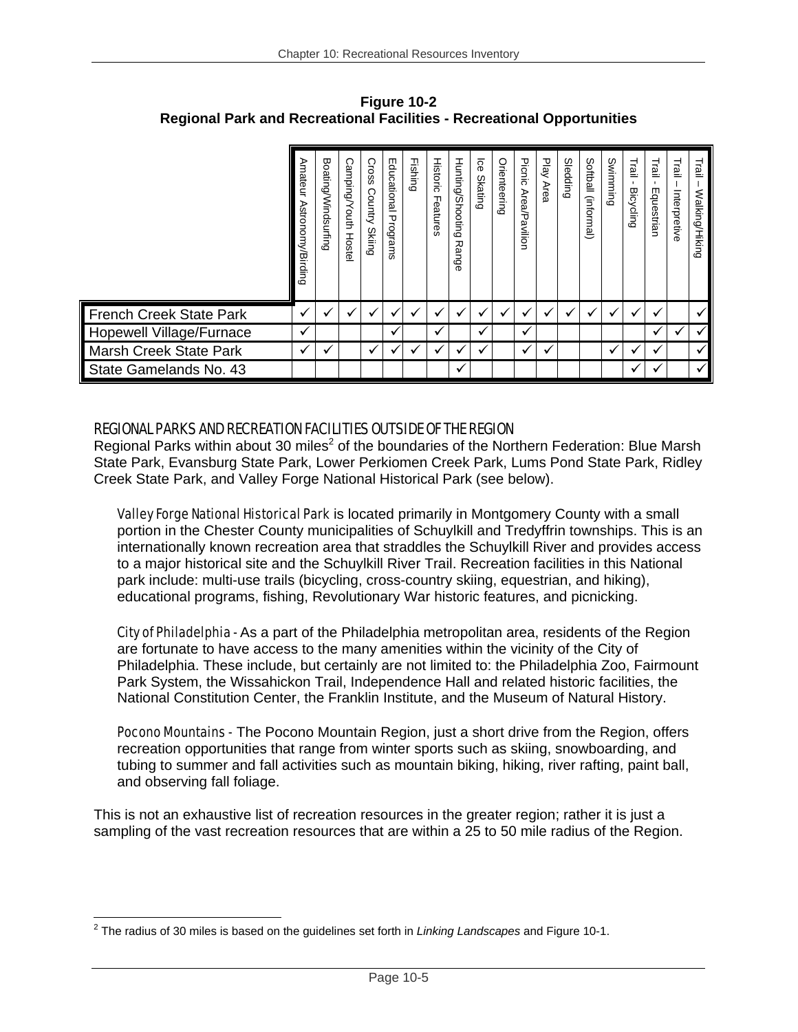|                          | Amateur<br>Astronomy/Birding | ᡂ<br>oating/Windsurfing | റ<br>Afoudwe<br>outh<br><b>Hostel</b> | Cross<br>Country<br><b>Skiing</b> | m<br>ducational<br>Programs | Fishing | Historic<br>Features | Hunting/Shooting<br>观<br>Θ<br>ငွေ | <b>Ge</b><br><b>Skating</b> | Orienteering | Picnic<br>Area/P<br>avilion | ᠊ᠣ<br><u>v</u><br><b>Area</b> | Sledding | Softball (informal) | Swimming | Trail<br><b>Bicycling</b> | Trail<br>Equestrian | Trail<br>Interpretive | Trail<br>Walking/Hiking |
|--------------------------|------------------------------|-------------------------|---------------------------------------|-----------------------------------|-----------------------------|---------|----------------------|-----------------------------------|-----------------------------|--------------|-----------------------------|-------------------------------|----------|---------------------|----------|---------------------------|---------------------|-----------------------|-------------------------|
| French Creek State Park  | v                            | v                       |                                       | v                                 |                             |         | v                    |                                   |                             |              |                             | $\ddot{\phantom{0}}$          | v        |                     |          | $\cdot$                   |                     |                       | ✓                       |
| Hopewell Village/Furnace | v                            |                         |                                       |                                   |                             |         | √                    |                                   | √                           |              | v                           |                               |          |                     |          |                           | ✓                   |                       | ✓                       |
| Marsh Creek State Park   | v                            | v                       |                                       | ✓                                 |                             |         | ✔                    |                                   |                             |              | $\checkmark$                | v                             |          |                     |          |                           | ✔                   |                       | $\checkmark$            |
| State Gamelands No. 43   |                              |                         |                                       |                                   |                             |         |                      |                                   |                             |              |                             |                               |          |                     |          |                           |                     |                       |                         |

**Figure 10-2 Regional Park and Recreational Facilities - Recreational Opportunities** 

#### REGIONAL PARKS AND RECREATION FACILITIES OUTSIDE OF THE REGION

Regional Parks within about 30 miles<sup>2</sup> of the boundaries of the Northern Federation: Blue Marsh State Park, Evansburg State Park, Lower Perkiomen Creek Park, Lums Pond State Park, Ridley Creek State Park, and Valley Forge National Historical Park (see below).

Valley Forge National Historical Park is located primarily in Montgomery County with a small portion in the Chester County municipalities of Schuylkill and Tredyffrin townships. This is an internationally known recreation area that straddles the Schuylkill River and provides access to a major historical site and the Schuylkill River Trail. Recreation facilities in this National park include: multi-use trails (bicycling, cross-country skiing, equestrian, and hiking), educational programs, fishing, Revolutionary War historic features, and picnicking.

City of Philadelphia - As a part of the Philadelphia metropolitan area, residents of the Region are fortunate to have access to the many amenities within the vicinity of the City of Philadelphia. These include, but certainly are not limited to: the Philadelphia Zoo, Fairmount Park System, the Wissahickon Trail, Independence Hall and related historic facilities, the National Constitution Center, the Franklin Institute, and the Museum of Natural History.

Pocono Mountains - The Pocono Mountain Region, just a short drive from the Region, offers recreation opportunities that range from winter sports such as skiing, snowboarding, and tubing to summer and fall activities such as mountain biking, hiking, river rafting, paint ball, and observing fall foliage.

This is not an exhaustive list of recreation resources in the greater region; rather it is just a sampling of the vast recreation resources that are within a 25 to 50 mile radius of the Region.

 $\overline{a}$ 2 The radius of 30 miles is based on the guidelines set forth in *Linking Landscapes* and Figure 10-1.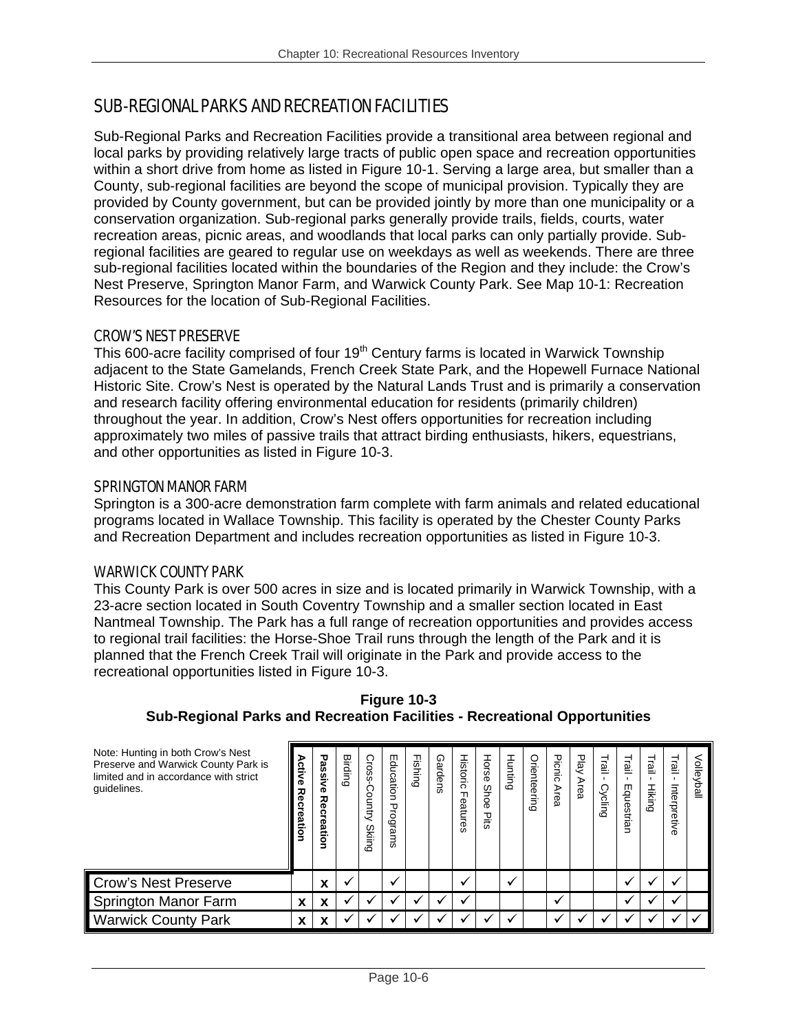## SUB-REGIONAL PARKS AND RECREATION FACILITIES

Sub-Regional Parks and Recreation Facilities provide a transitional area between regional and local parks by providing relatively large tracts of public open space and recreation opportunities within a short drive from home as listed in Figure 10-1. Serving a large area, but smaller than a County, sub-regional facilities are beyond the scope of municipal provision. Typically they are provided by County government, but can be provided jointly by more than one municipality or a conservation organization. Sub-regional parks generally provide trails, fields, courts, water recreation areas, picnic areas, and woodlands that local parks can only partially provide. Subregional facilities are geared to regular use on weekdays as well as weekends. There are three sub-regional facilities located within the boundaries of the Region and they include: the Crow's Nest Preserve, Springton Manor Farm, and Warwick County Park. See Map 10-1: Recreation Resources for the location of Sub-Regional Facilities.

#### CROW'S NEST PRESERVE

This 600-acre facility comprised of four 19<sup>th</sup> Century farms is located in Warwick Township adjacent to the State Gamelands, French Creek State Park, and the Hopewell Furnace National Historic Site. Crow's Nest is operated by the Natural Lands Trust and is primarily a conservation and research facility offering environmental education for residents (primarily children) throughout the year. In addition, Crow's Nest offers opportunities for recreation including approximately two miles of passive trails that attract birding enthusiasts, hikers, equestrians, and other opportunities as listed in Figure 10-3.

#### SPRINGTON MANOR FARM

Springton is a 300-acre demonstration farm complete with farm animals and related educational programs located in Wallace Township. This facility is operated by the Chester County Parks and Recreation Department and includes recreation opportunities as listed in Figure 10-3.

#### WARWICK COUNTY PARK

This County Park is over 500 acres in size and is located primarily in Warwick Township, with a 23-acre section located in South Coventry Township and a smaller section located in East Nantmeal Township. The Park has a full range of recreation opportunities and provides access to regional trail facilities: the Horse-Shoe Trail runs through the length of the Park and it is planned that the French Creek Trail will originate in the Park and provide access to the recreational opportunities listed in Figure 10-3.

| Note: Hunting in both Crow's Nest<br>Preserve and Warwick County Park is<br>limited and in accordance with strict<br>guidelines. | Activ<br>Φ<br>观<br>Φ<br>Φ<br>قع<br>۰ | Passiv<br>Ő.<br>Recreation | Birding | Cross-<br>O<br>ountry<br><b>Skiing</b> | Education<br>$\mathbf \sigma$<br>rograms | Fishing | Gardens | <b>Historic</b><br>ᆩ<br>eatures | Horse<br>Shoe<br>Pits | Hunting      | Orienteering | Picnic<br>Area | Play<br>Area | Trail<br><b>Cycling</b> | Trail<br>Equestri<br>gi | 回<br><b>Hiking</b> | 힖<br>$\mathbf{r}$<br>Interpretive | Volley<br>liall |
|----------------------------------------------------------------------------------------------------------------------------------|--------------------------------------|----------------------------|---------|----------------------------------------|------------------------------------------|---------|---------|---------------------------------|-----------------------|--------------|--------------|----------------|--------------|-------------------------|-------------------------|--------------------|-----------------------------------|-----------------|
| <b>Crow's Nest Preserve</b>                                                                                                      |                                      | X                          |         |                                        |                                          |         |         |                                 |                       | $\checkmark$ |              |                |              |                         |                         |                    | $\checkmark$                      |                 |
| Springton Manor Farm                                                                                                             | X                                    | X                          |         |                                        |                                          |         |         |                                 |                       |              |              |                |              |                         |                         |                    | $\mathbf{v}$                      |                 |
| <b>Warwick County Park</b>                                                                                                       | x                                    | x                          |         |                                        |                                          |         |         |                                 |                       |              |              |                |              |                         |                         |                    |                                   |                 |

**Figure 10-3 Sub-Regional Parks and Recreation Facilities - Recreational Opportunities**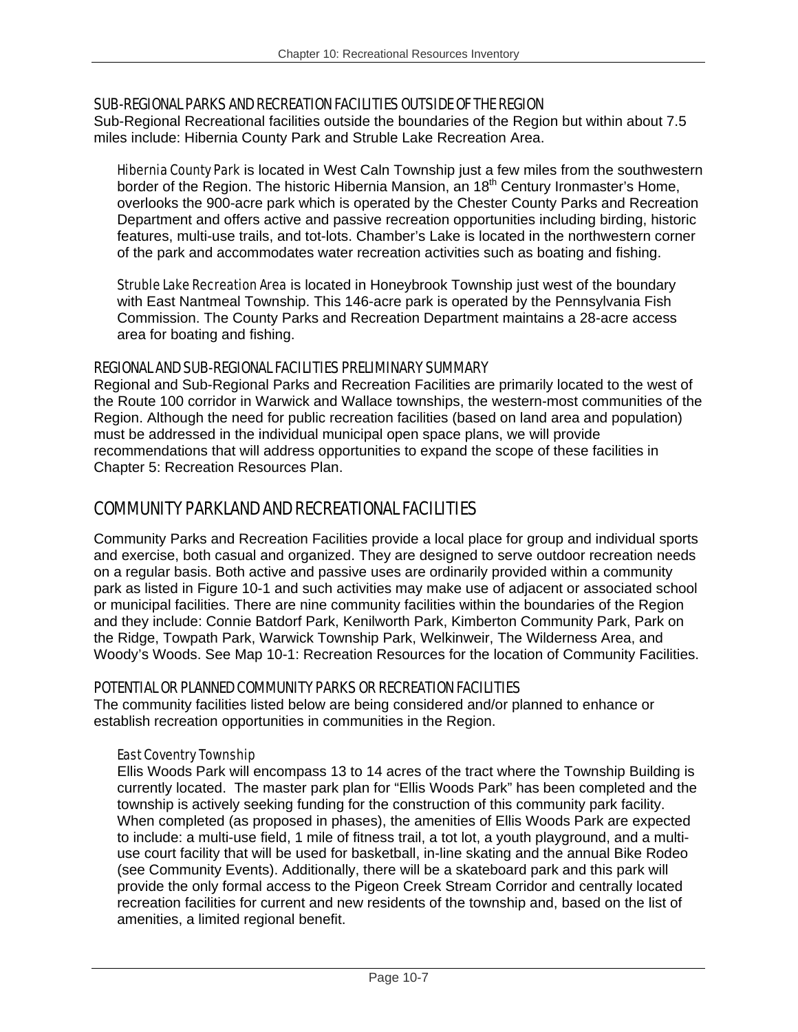#### SUB-REGIONAL PARKS AND RECREATION FACILITIES OUTSIDE OF THE REGION

Sub-Regional Recreational facilities outside the boundaries of the Region but within about 7.5 miles include: Hibernia County Park and Struble Lake Recreation Area.

Hibernia County Park is located in West Caln Township just a few miles from the southwestern border of the Region. The historic Hibernia Mansion, an  $18<sup>th</sup>$  Century Ironmaster's Home, overlooks the 900-acre park which is operated by the Chester County Parks and Recreation Department and offers active and passive recreation opportunities including birding, historic features, multi-use trails, and tot-lots. Chamber's Lake is located in the northwestern corner of the park and accommodates water recreation activities such as boating and fishing.

**Struble Lake Recreation Area** is located in Honeybrook Township just west of the boundary with East Nantmeal Township. This 146-acre park is operated by the Pennsylvania Fish Commission. The County Parks and Recreation Department maintains a 28-acre access area for boating and fishing.

#### REGIONAL AND SUB-REGIONAL FACILITIES PRELIMINARY SUMMARY

Regional and Sub-Regional Parks and Recreation Facilities are primarily located to the west of the Route 100 corridor in Warwick and Wallace townships, the western-most communities of the Region. Although the need for public recreation facilities (based on land area and population) must be addressed in the individual municipal open space plans, we will provide recommendations that will address opportunities to expand the scope of these facilities in Chapter 5: Recreation Resources Plan.

### COMMUNITY PARKLAND AND RECREATIONAL FACILITIES

Community Parks and Recreation Facilities provide a local place for group and individual sports and exercise, both casual and organized. They are designed to serve outdoor recreation needs on a regular basis. Both active and passive uses are ordinarily provided within a community park as listed in Figure 10-1 and such activities may make use of adjacent or associated school or municipal facilities. There are nine community facilities within the boundaries of the Region and they include: Connie Batdorf Park, Kenilworth Park, Kimberton Community Park, Park on the Ridge, Towpath Park, Warwick Township Park, Welkinweir, The Wilderness Area, and Woody's Woods. See Map 10-1: Recreation Resources for the location of Community Facilities.

#### POTENTIAL OR PLANNED COMMUNITY PARKS OR RECREATION FACILITIES

The community facilities listed below are being considered and/or planned to enhance or establish recreation opportunities in communities in the Region.

#### East Coventry Township

Ellis Woods Park will encompass 13 to 14 acres of the tract where the Township Building is currently located. The master park plan for "Ellis Woods Park" has been completed and the township is actively seeking funding for the construction of this community park facility. When completed (as proposed in phases), the amenities of Ellis Woods Park are expected to include: a multi-use field, 1 mile of fitness trail, a tot lot, a youth playground, and a multiuse court facility that will be used for basketball, in-line skating and the annual Bike Rodeo (see Community Events). Additionally, there will be a skateboard park and this park will provide the only formal access to the Pigeon Creek Stream Corridor and centrally located recreation facilities for current and new residents of the township and, based on the list of amenities, a limited regional benefit.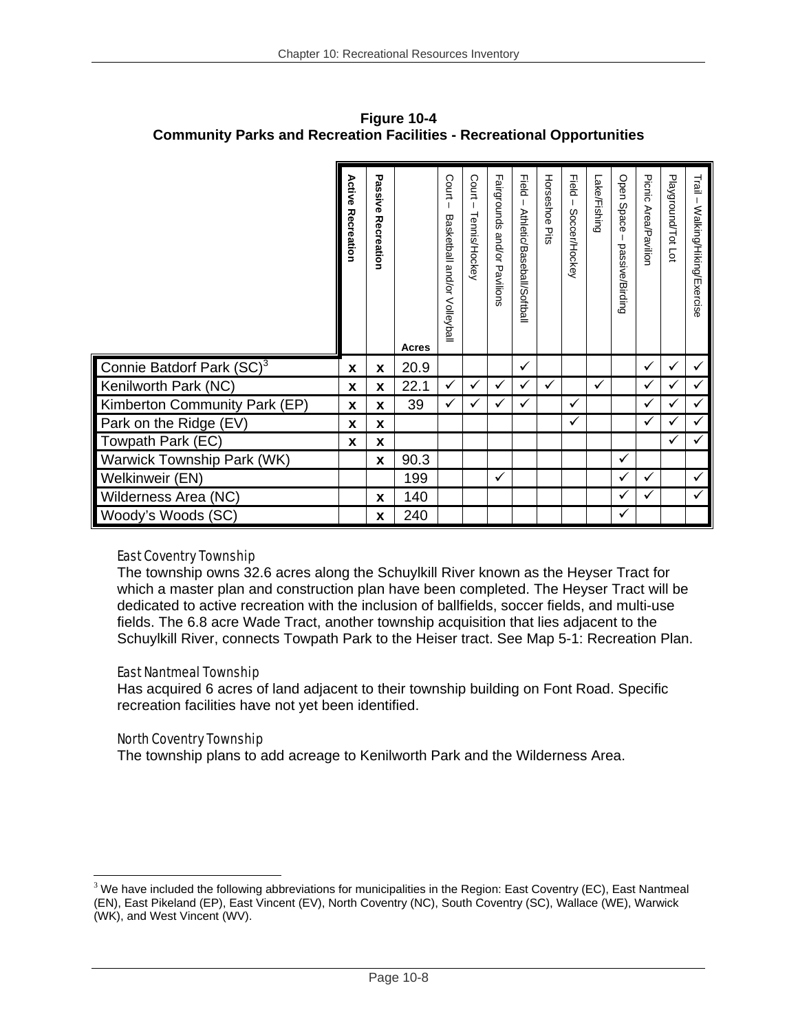|                                       | Active<br>Recreation | Passive<br>Recreation | Acres | Court<br>Basketball<br>and/or<br>Volleyball | Court<br>Tennis/Hockey | Fairgrounds<br>and/or<br>Pavilions | <b>Field</b><br>Athletic/Baseball/Softball | Horseshoe<br><b>Dite</b> | <b>Held</b><br>Soccer/Hockey | Lake/Fishing | Open<br><b>Space</b><br>passive/Birding | Picnic<br>Area/Pavilior | Playground/Tot Lot | Trail<br>Walking/Hiking/Exercise |
|---------------------------------------|----------------------|-----------------------|-------|---------------------------------------------|------------------------|------------------------------------|--------------------------------------------|--------------------------|------------------------------|--------------|-----------------------------------------|-------------------------|--------------------|----------------------------------|
| Connie Batdorf Park (SC) <sup>3</sup> | X                    | X                     | 20.9  |                                             |                        |                                    | ✓                                          |                          |                              |              |                                         | ✓                       | ✓                  |                                  |
| Kenilworth Park (NC)                  | X                    | X                     | 22.1  |                                             |                        | ✓                                  |                                            | ✓                        |                              | ✓            |                                         | ✓                       |                    |                                  |
| Kimberton Community Park (EP)         | X                    | X                     | 39    | ✓                                           | ✓                      | ✓                                  | ✓                                          |                          | ✓                            |              |                                         | ✓                       | ✓                  | ✓                                |
| Park on the Ridge (EV)                | X                    | X                     |       |                                             |                        |                                    |                                            |                          | ✓                            |              |                                         | √                       |                    |                                  |
| Towpath Park (EC)                     | X                    | X                     |       |                                             |                        |                                    |                                            |                          |                              |              |                                         |                         | ✓                  |                                  |
| Warwick Township Park (WK)            |                      | X                     | 90.3  |                                             |                        |                                    |                                            |                          |                              |              | ✓                                       |                         |                    |                                  |
| Welkinweir (EN)                       |                      |                       | 199   |                                             |                        | $\checkmark$                       |                                            |                          |                              |              | $\checkmark$                            | ✓                       |                    | $\checkmark$                     |
| Wilderness Area (NC)                  |                      | x                     | 140   |                                             |                        |                                    |                                            |                          |                              |              | ✓                                       | ✓                       |                    | ✓                                |
| Woody's Woods (SC)                    |                      | X                     | 240   |                                             |                        |                                    |                                            |                          |                              |              | ✓                                       |                         |                    |                                  |

**Figure 10-4 Community Parks and Recreation Facilities - Recreational Opportunities** 

### East Coventry Township

The township owns 32.6 acres along the Schuylkill River known as the Heyser Tract for which a master plan and construction plan have been completed. The Heyser Tract will be dedicated to active recreation with the inclusion of ballfields, soccer fields, and multi-use fields. The 6.8 acre Wade Tract, another township acquisition that lies adjacent to the Schuylkill River, connects Towpath Park to the Heiser tract. See Map 5-1: Recreation Plan.

#### East Nantmeal Township

Has acquired 6 acres of land adjacent to their township building on Font Road. Specific recreation facilities have not yet been identified.

#### North Coventry Township

The township plans to add acreage to Kenilworth Park and the Wilderness Area.

<sup>1</sup>  $3$  We have included the following abbreviations for municipalities in the Region: East Coventry (EC), East Nantmeal (EN), East Pikeland (EP), East Vincent (EV), North Coventry (NC), South Coventry (SC), Wallace (WE), Warwick (WK), and West Vincent (WV).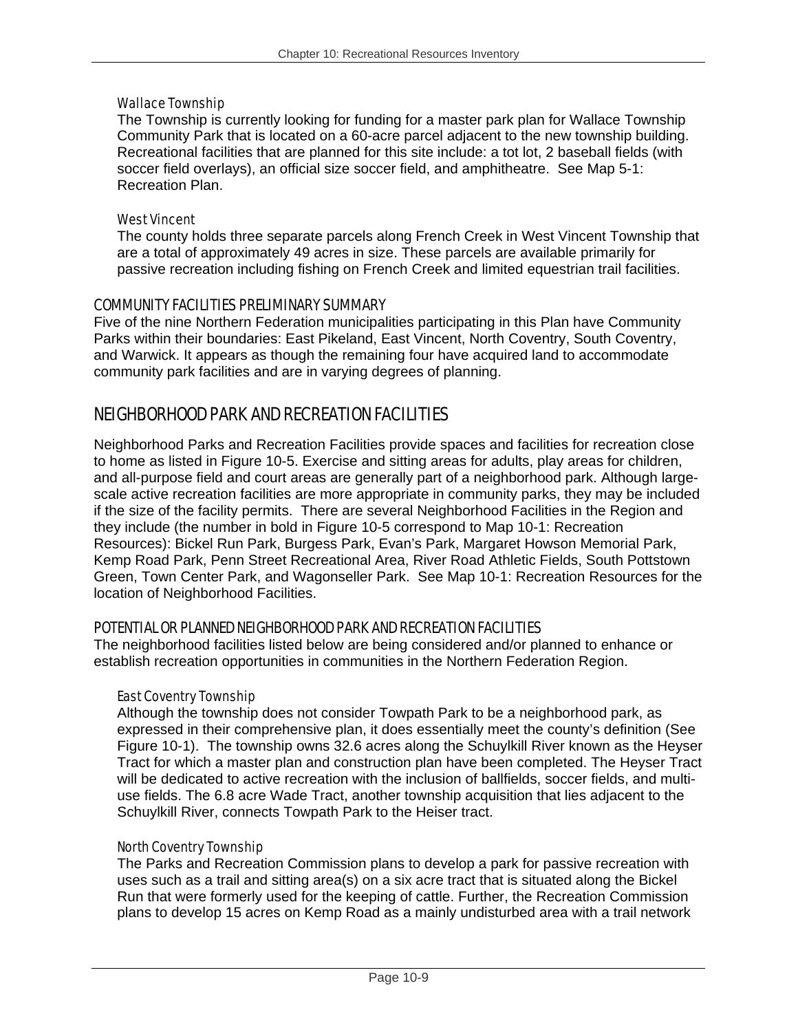#### Wallace Township

The Township is currently looking for funding for a master park plan for Wallace Township Community Park that is located on a 60-acre parcel adjacent to the new township building. Recreational facilities that are planned for this site include: a tot lot, 2 baseball fields (with soccer field overlays), an official size soccer field, and amphitheatre. See Map 5-1: Recreation Plan.

#### West Vincent

The county holds three separate parcels along French Creek in West Vincent Township that are a total of approximately 49 acres in size. These parcels are available primarily for passive recreation including fishing on French Creek and limited equestrian trail facilities.

#### COMMUNITY FACILITIES PRELIMINARY SUMMARY

Five of the nine Northern Federation municipalities participating in this Plan have Community Parks within their boundaries: East Pikeland, East Vincent, North Coventry, South Coventry, and Warwick. It appears as though the remaining four have acquired land to accommodate community park facilities and are in varying degrees of planning.

## NEIGHBORHOOD PARK AND RECREATION FACILITIES

Neighborhood Parks and Recreation Facilities provide spaces and facilities for recreation close to home as listed in Figure 10-5. Exercise and sitting areas for adults, play areas for children, and all-purpose field and court areas are generally part of a neighborhood park. Although largescale active recreation facilities are more appropriate in community parks, they may be included if the size of the facility permits. There are several Neighborhood Facilities in the Region and they include (the number in bold in Figure 10-5 correspond to Map 10-1: Recreation Resources): Bickel Run Park, Burgess Park, Evan's Park, Margaret Howson Memorial Park, Kemp Road Park, Penn Street Recreational Area, River Road Athletic Fields, South Pottstown Green, Town Center Park, and Wagonseller Park. See Map 10-1: Recreation Resources for the location of Neighborhood Facilities.

#### POTENTIAL OR PLANNED NEIGHBORHOOD PARK AND RECREATION FACILITIES

The neighborhood facilities listed below are being considered and/or planned to enhance or establish recreation opportunities in communities in the Northern Federation Region.

#### East Coventry Township

Although the township does not consider Towpath Park to be a neighborhood park, as expressed in their comprehensive plan, it does essentially meet the county's definition (See Figure 10-1). The township owns 32.6 acres along the Schuylkill River known as the Heyser Tract for which a master plan and construction plan have been completed. The Heyser Tract will be dedicated to active recreation with the inclusion of ballfields, soccer fields, and multiuse fields. The 6.8 acre Wade Tract, another township acquisition that lies adjacent to the Schuylkill River, connects Towpath Park to the Heiser tract.

#### North Coventry Township

The Parks and Recreation Commission plans to develop a park for passive recreation with uses such as a trail and sitting area(s) on a six acre tract that is situated along the Bickel Run that were formerly used for the keeping of cattle. Further, the Recreation Commission plans to develop 15 acres on Kemp Road as a mainly undisturbed area with a trail network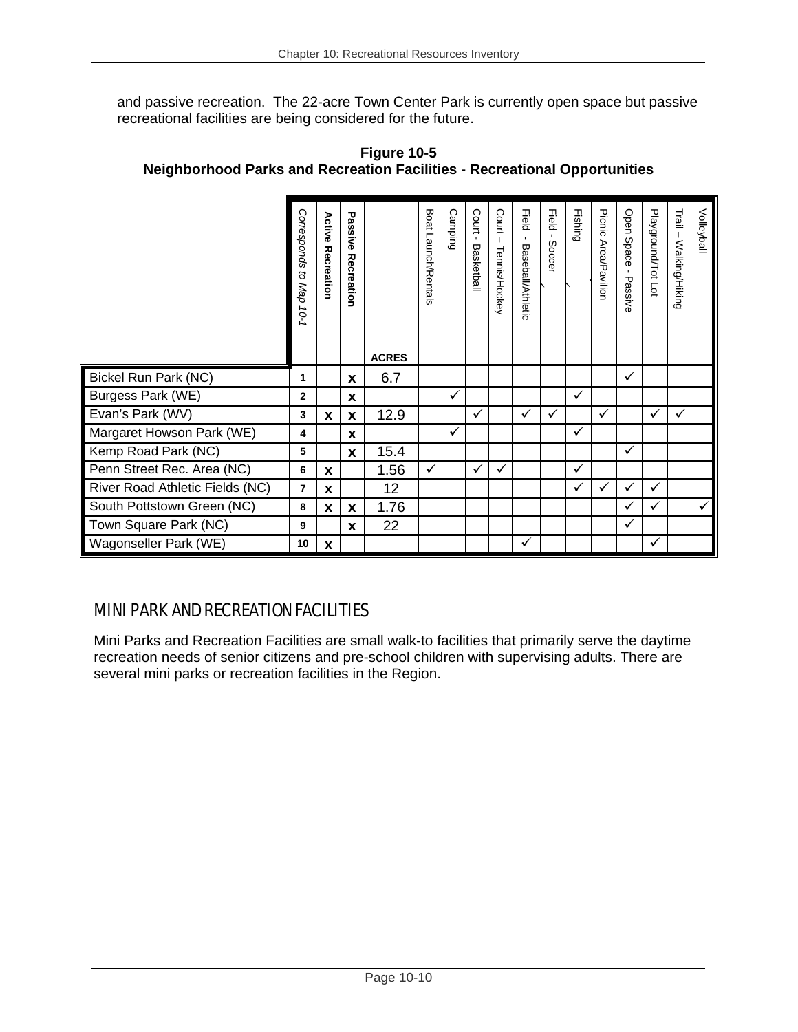and passive recreation. The 22-acre Town Center Park is currently open space but passive recreational facilities are being considered for the future.

|                                 | Corresponds<br>: to Map<br>10-1 | Active<br>Recreation | Passive<br>Recreation |              | Boat Launch/Rentals | <b>Camping</b> | Court<br>$\blacksquare$<br>Basketbal | Court<br><b>Tennis/Hockey</b> | Field<br>$\blacksquare$<br><b>Baseball/Athletic</b> | Field<br>$\mathbf{L}$<br>Soccer | Fishing      | Picnic<br>Area/Pavilior | Open Space<br>$\mathbf{I}$<br>Passive | Playground/Tot Lot | Trail<br>- Walking/Hiking | Volleyball |
|---------------------------------|---------------------------------|----------------------|-----------------------|--------------|---------------------|----------------|--------------------------------------|-------------------------------|-----------------------------------------------------|---------------------------------|--------------|-------------------------|---------------------------------------|--------------------|---------------------------|------------|
|                                 |                                 |                      |                       | <b>ACRES</b> |                     |                |                                      |                               |                                                     |                                 |              |                         |                                       |                    |                           |            |
| <b>Bickel Run Park (NC)</b>     | 1                               |                      | X                     | 6.7          |                     |                |                                      |                               |                                                     |                                 |              |                         | ✓                                     |                    |                           |            |
| Burgess Park (WE)               | $\mathbf{2}$                    |                      | X                     |              |                     | ✓              |                                      |                               |                                                     |                                 | ✓            |                         |                                       |                    |                           |            |
| Evan's Park (WV)                | 3                               | X                    | X                     | 12.9         |                     |                | ✓                                    |                               | ✓                                                   | ✓                               |              | ✓                       |                                       | ✓                  | ✓                         |            |
| Margaret Howson Park (WE)       | 4                               |                      | X                     |              |                     | ✓              |                                      |                               |                                                     |                                 | ✓            |                         |                                       |                    |                           |            |
| Kemp Road Park (NC)             | 5                               |                      | <b>X</b>              | 15.4         |                     |                |                                      |                               |                                                     |                                 |              |                         | $\checkmark$                          |                    |                           |            |
| Penn Street Rec. Area (NC)      | 6                               | X                    |                       | 1.56         | ✓                   |                | ✓                                    | ✓                             |                                                     |                                 | $\checkmark$ |                         |                                       |                    |                           |            |
| River Road Athletic Fields (NC) | 7                               | X                    |                       | 12           |                     |                |                                      |                               |                                                     |                                 | $\checkmark$ | $\checkmark$            | $\checkmark$                          | ✓                  |                           |            |
| South Pottstown Green (NC)      | 8                               | X                    | X                     | 1.76         |                     |                |                                      |                               |                                                     |                                 |              |                         | $\checkmark$                          | ✓                  |                           | ✓          |
| Town Square Park (NC)           | 9                               |                      | X                     | 22           |                     |                |                                      |                               |                                                     |                                 |              |                         | $\checkmark$                          |                    |                           |            |
| Wagonseller Park (WE)           | 10                              | X                    |                       |              |                     |                |                                      |                               | ✓                                                   |                                 |              |                         |                                       | ✓                  |                           |            |

**Figure 10-5 Neighborhood Parks and Recreation Facilities - Recreational Opportunities** 

## MINI PARK AND RECREATION FACILITIES

Mini Parks and Recreation Facilities are small walk-to facilities that primarily serve the daytime recreation needs of senior citizens and pre-school children with supervising adults. There are several mini parks or recreation facilities in the Region.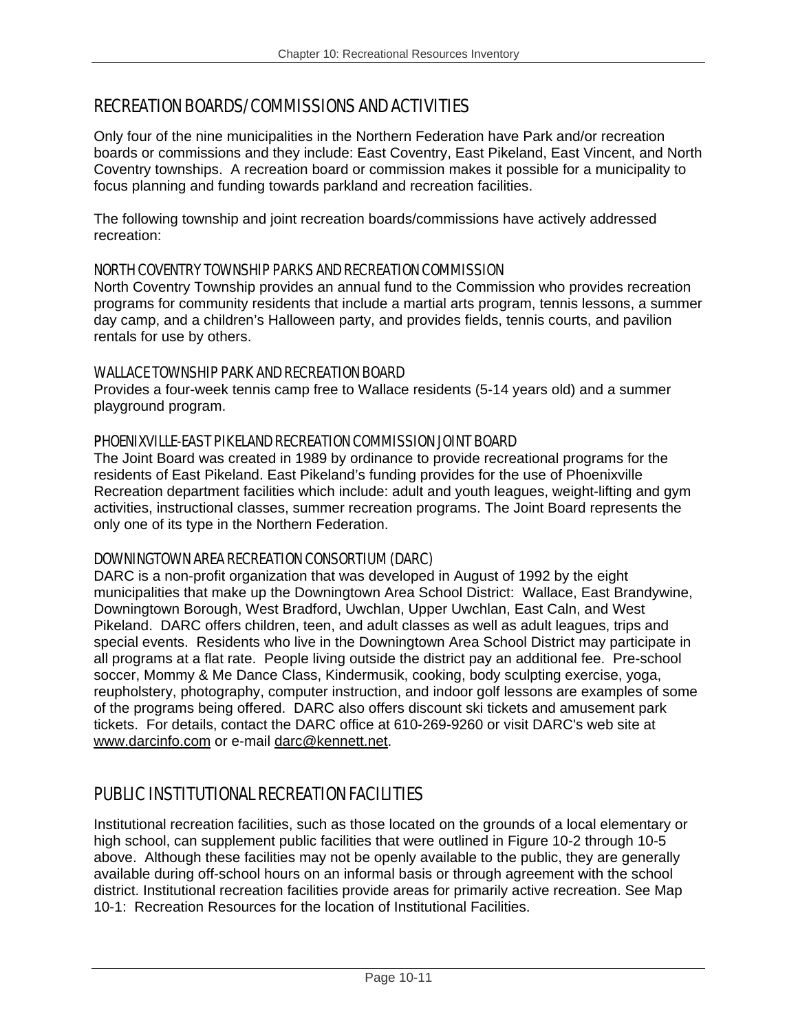## RECREATION BOARDS/COMMISSIONS AND ACTIVITIES

Only four of the nine municipalities in the Northern Federation have Park and/or recreation boards or commissions and they include: East Coventry, East Pikeland, East Vincent, and North Coventry townships. A recreation board or commission makes it possible for a municipality to focus planning and funding towards parkland and recreation facilities.

The following township and joint recreation boards/commissions have actively addressed recreation:

#### NORTH COVENTRY TOWNSHIP PARKS AND RECREATION COMMISSION

North Coventry Township provides an annual fund to the Commission who provides recreation programs for community residents that include a martial arts program, tennis lessons, a summer day camp, and a children's Halloween party, and provides fields, tennis courts, and pavilion rentals for use by others.

#### WALLACE TOWNSHIP PARK AND RECREATION BOARD

Provides a four-week tennis camp free to Wallace residents (5-14 years old) and a summer playground program.

#### PHOENIXVILLE-EAST PIKELAND RECREATION COMMISSION JOINT BOARD

The Joint Board was created in 1989 by ordinance to provide recreational programs for the residents of East Pikeland. East Pikeland's funding provides for the use of Phoenixville Recreation department facilities which include: adult and youth leagues, weight-lifting and gym activities, instructional classes, summer recreation programs. The Joint Board represents the only one of its type in the Northern Federation.

#### DOWNINGTOWN AREA RECREATION CONSORTIUM (DARC)

DARC is a non-profit organization that was developed in August of 1992 by the eight municipalities that make up the Downingtown Area School District: Wallace, East Brandywine, Downingtown Borough, West Bradford, Uwchlan, Upper Uwchlan, East Caln, and West Pikeland. DARC offers children, teen, and adult classes as well as adult leagues, trips and special events. Residents who live in the Downingtown Area School District may participate in all programs at a flat rate. People living outside the district pay an additional fee. Pre-school soccer, Mommy & Me Dance Class, Kindermusik, cooking, body sculpting exercise, yoga, reupholstery, photography, computer instruction, and indoor golf lessons are examples of some of the programs being offered. DARC also offers discount ski tickets and amusement park tickets. For details, contact the DARC office at 610-269-9260 or visit DARC's web site at www.darcinfo.com or e-mail darc@kennett.net.

## PUBLIC INSTITUTIONAL RECREATION FACILITIES

Institutional recreation facilities, such as those located on the grounds of a local elementary or high school, can supplement public facilities that were outlined in Figure 10-2 through 10-5 above. Although these facilities may not be openly available to the public, they are generally available during off-school hours on an informal basis or through agreement with the school district. Institutional recreation facilities provide areas for primarily active recreation. See Map 10-1: Recreation Resources for the location of Institutional Facilities.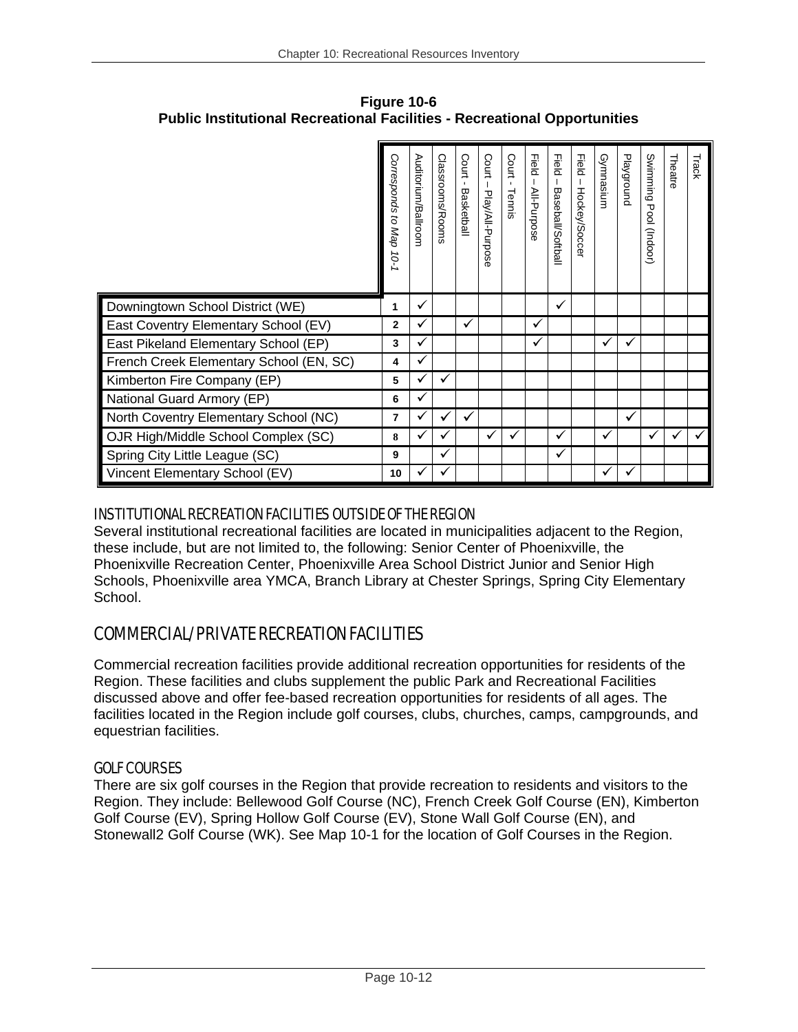|                                         | Corresponds<br>to Map<br>10-1 | Auditorium/Ballroom | Classrooms/Rooms | Court<br>$\mathbf{I}$<br>Basketball | Court<br>Play/All-Purpos<br>ന | Court<br>$\mathbf{r}$<br>Tennis | <b>Field</b><br>All-Purpose | Field<br><b>Baseball/Softball</b> | <b>Field</b><br>Hockey/Soccer | Gymnasium    | Playground | Swimming<br>᠊ᠣ<br>$\overline{5}$<br>(100pul) | Theatre | Track |
|-----------------------------------------|-------------------------------|---------------------|------------------|-------------------------------------|-------------------------------|---------------------------------|-----------------------------|-----------------------------------|-------------------------------|--------------|------------|----------------------------------------------|---------|-------|
| Downingtown School District (WE)        | 1                             | ✓                   |                  |                                     |                               |                                 |                             | ✓                                 |                               |              |            |                                              |         |       |
| East Coventry Elementary School (EV)    | 2                             |                     |                  | ✓                                   |                               |                                 | ✓                           |                                   |                               |              |            |                                              |         |       |
| East Pikeland Elementary School (EP)    | 3                             |                     |                  |                                     |                               |                                 | ✓                           |                                   |                               | $\checkmark$ |            |                                              |         |       |
| French Creek Elementary School (EN, SC) | 4                             |                     |                  |                                     |                               |                                 |                             |                                   |                               |              |            |                                              |         |       |
| Kimberton Fire Company (EP)             | 5                             |                     | ✓                |                                     |                               |                                 |                             |                                   |                               |              |            |                                              |         |       |
| National Guard Armory (EP)              | 6                             |                     |                  |                                     |                               |                                 |                             |                                   |                               |              |            |                                              |         |       |
| North Coventry Elementary School (NC)   | 7                             |                     | ✓                | ✓                                   |                               |                                 |                             |                                   |                               |              | ✔          |                                              |         |       |
| OJR High/Middle School Complex (SC)     | 8                             |                     | ✓                |                                     | ✓                             | ✓                               |                             | ✓                                 |                               | ✓            |            | ✓                                            | ✓       |       |
| Spring City Little League (SC)          | 9                             |                     | ✓                |                                     |                               |                                 |                             | ✓                                 |                               |              |            |                                              |         |       |
| Vincent Elementary School (EV)          | 10                            |                     | ✓                |                                     |                               |                                 |                             |                                   |                               |              |            |                                              |         |       |

**Figure 10-6 Public Institutional Recreational Facilities - Recreational Opportunities** 

### INSTITUTIONAL RECREATION FACILITIES OUTSIDE OF THE REGION

Several institutional recreational facilities are located in municipalities adjacent to the Region, these include, but are not limited to, the following: Senior Center of Phoenixville, the Phoenixville Recreation Center, Phoenixville Area School District Junior and Senior High Schools, Phoenixville area YMCA, Branch Library at Chester Springs, Spring City Elementary School.

## COMMERCIAL/PRIVATE RECREATION FACILITIES

Commercial recreation facilities provide additional recreation opportunities for residents of the Region. These facilities and clubs supplement the public Park and Recreational Facilities discussed above and offer fee-based recreation opportunities for residents of all ages. The facilities located in the Region include golf courses, clubs, churches, camps, campgrounds, and equestrian facilities.

## GOLF COURSES

There are six golf courses in the Region that provide recreation to residents and visitors to the Region. They include: Bellewood Golf Course (NC), French Creek Golf Course (EN), Kimberton Golf Course (EV), Spring Hollow Golf Course (EV), Stone Wall Golf Course (EN), and Stonewall2 Golf Course (WK). See Map 10-1 for the location of Golf Courses in the Region.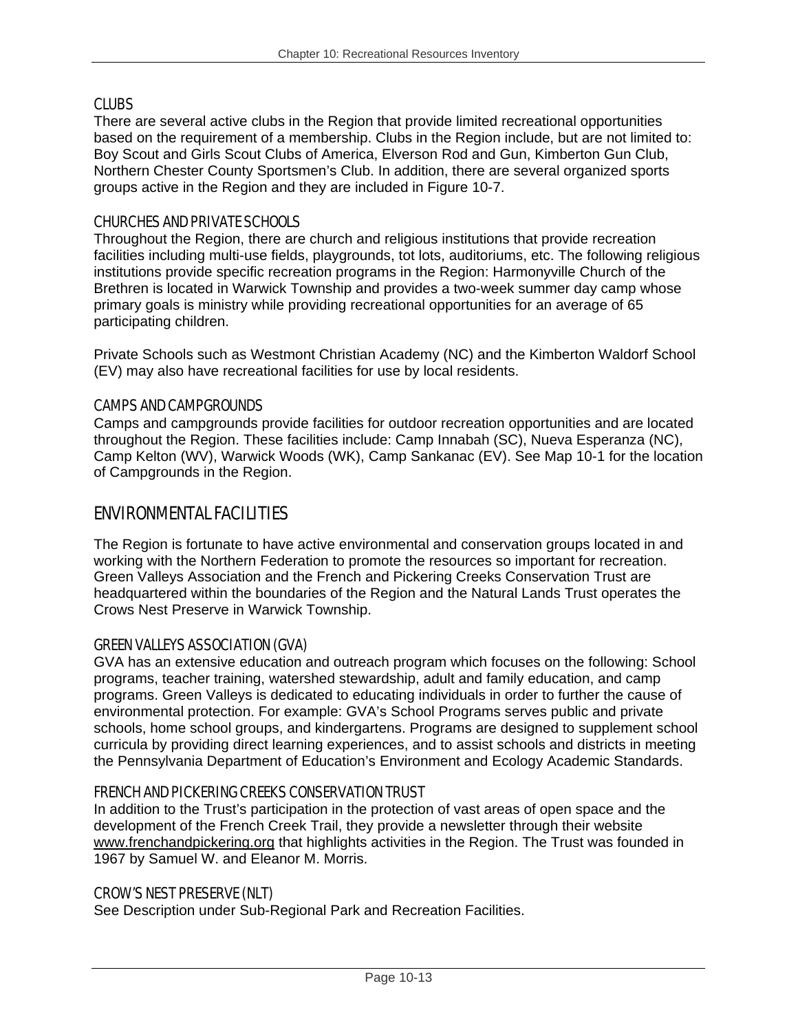#### CLUBS

There are several active clubs in the Region that provide limited recreational opportunities based on the requirement of a membership. Clubs in the Region include, but are not limited to: Boy Scout and Girls Scout Clubs of America, Elverson Rod and Gun, Kimberton Gun Club, Northern Chester County Sportsmen's Club. In addition, there are several organized sports groups active in the Region and they are included in Figure 10-7.

#### CHURCHES AND PRIVATE SCHOOLS

Throughout the Region, there are church and religious institutions that provide recreation facilities including multi-use fields, playgrounds, tot lots, auditoriums, etc. The following religious institutions provide specific recreation programs in the Region: Harmonyville Church of the Brethren is located in Warwick Township and provides a two-week summer day camp whose primary goals is ministry while providing recreational opportunities for an average of 65 participating children.

Private Schools such as Westmont Christian Academy (NC) and the Kimberton Waldorf School (EV) may also have recreational facilities for use by local residents.

#### CAMPS AND CAMPGROUNDS

Camps and campgrounds provide facilities for outdoor recreation opportunities and are located throughout the Region. These facilities include: Camp Innabah (SC), Nueva Esperanza (NC), Camp Kelton (WV), Warwick Woods (WK), Camp Sankanac (EV). See Map 10-1 for the location of Campgrounds in the Region.

### ENVIRONMENTAL FACILITIES

The Region is fortunate to have active environmental and conservation groups located in and working with the Northern Federation to promote the resources so important for recreation. Green Valleys Association and the French and Pickering Creeks Conservation Trust are headquartered within the boundaries of the Region and the Natural Lands Trust operates the Crows Nest Preserve in Warwick Township.

#### GREEN VALLEYS ASSOCIATION (GVA)

GVA has an extensive education and outreach program which focuses on the following: School programs, teacher training, watershed stewardship, adult and family education, and camp programs. Green Valleys is dedicated to educating individuals in order to further the cause of environmental protection. For example: GVA's School Programs serves public and private schools, home school groups, and kindergartens. Programs are designed to supplement school curricula by providing direct learning experiences, and to assist schools and districts in meeting the Pennsylvania Department of Education's Environment and Ecology Academic Standards.

#### FRENCH AND PICKERING CREEKS CONSERVATION TRUST

In addition to the Trust's participation in the protection of vast areas of open space and the development of the French Creek Trail, they provide a newsletter through their website www.frenchandpickering.org that highlights activities in the Region. The Trust was founded in 1967 by Samuel W. and Eleanor M. Morris.

#### CROW'S NEST PRESERVE (NLT)

See Description under Sub-Regional Park and Recreation Facilities.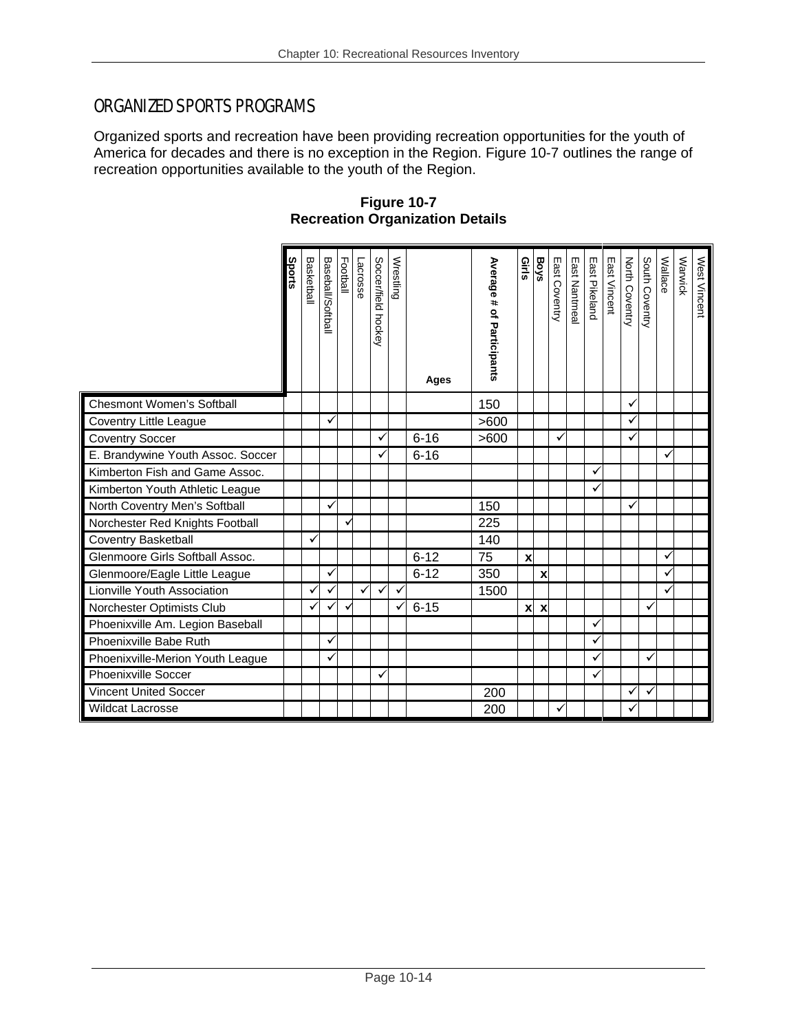## ORGANIZED SPORTS PROGRAMS

Organized sports and recreation have been providing recreation opportunities for the youth of America for decades and there is no exception in the Region. Figure 10-7 outlines the range of recreation opportunities available to the youth of the Region.

**Figure 10-7 Recreation Organization Details** 

|                                   | ports | Basketball   | Baseball/Softball | Football | <b>Lacrosse</b> | Soccer/field hockey | Wrestling | Ages     | Average # of Participants | Girls                     | Boys                      | East Coventry | East Nantmea | East Pikeland | East Vincent | North Coventry | South Coventry | Wallace      | Warwick | West Vincent |
|-----------------------------------|-------|--------------|-------------------|----------|-----------------|---------------------|-----------|----------|---------------------------|---------------------------|---------------------------|---------------|--------------|---------------|--------------|----------------|----------------|--------------|---------|--------------|
| <b>Chesmont Women's Softball</b>  |       |              |                   |          |                 |                     |           |          | 150                       |                           |                           |               |              |               |              | ✓              |                |              |         |              |
| Coventry Little League            |       |              |                   |          |                 |                     |           |          | >600                      |                           |                           |               |              |               |              |                |                |              |         |              |
| <b>Coventry Soccer</b>            |       |              |                   |          |                 | ✓                   |           | $6 - 16$ | >600                      |                           |                           | ✓             |              |               |              | ✓              |                |              |         |              |
| E. Brandywine Youth Assoc. Soccer |       |              |                   |          |                 |                     |           | $6 - 16$ |                           |                           |                           |               |              |               |              |                |                | ✓            |         |              |
| Kimberton Fish and Game Assoc.    |       |              |                   |          |                 |                     |           |          |                           |                           |                           |               |              |               |              |                |                |              |         |              |
| Kimberton Youth Athletic League   |       |              |                   |          |                 |                     |           |          |                           |                           |                           |               |              | ✓             |              |                |                |              |         |              |
| North Coventry Men's Softball     |       |              |                   |          |                 |                     |           |          | 150                       |                           |                           |               |              |               |              |                |                |              |         |              |
| Norchester Red Knights Football   |       |              |                   |          |                 |                     |           |          | 225                       |                           |                           |               |              |               |              |                |                |              |         |              |
| Coventry Basketball               |       | ✓            |                   |          |                 |                     |           |          | 140                       |                           |                           |               |              |               |              |                |                |              |         |              |
| Glenmoore Girls Softball Assoc.   |       |              |                   |          |                 |                     |           | $6 - 12$ | 75                        | x                         |                           |               |              |               |              |                |                | $\checkmark$ |         |              |
| Glenmoore/Eagle Little League     |       |              |                   |          |                 |                     |           | $6 - 12$ | 350                       |                           | $\boldsymbol{\mathsf{x}}$ |               |              |               |              |                |                |              |         |              |
| Lionville Youth Association       |       | $\checkmark$ |                   |          | ✓               | ✓                   | ✓         |          | 1500                      |                           |                           |               |              |               |              |                |                | $\checkmark$ |         |              |
| Norchester Optimists Club         |       |              |                   |          |                 |                     |           | $6 - 15$ |                           | $\boldsymbol{\mathsf{x}}$ | $\boldsymbol{\mathsf{x}}$ |               |              |               |              |                | ✓              |              |         |              |
| Phoenixville Am. Legion Baseball  |       |              |                   |          |                 |                     |           |          |                           |                           |                           |               |              |               |              |                |                |              |         |              |
| Phoenixville Babe Ruth            |       |              |                   |          |                 |                     |           |          |                           |                           |                           |               |              | $\checkmark$  |              |                |                |              |         |              |
| Phoenixville-Merion Youth League  |       |              |                   |          |                 |                     |           |          |                           |                           |                           |               |              |               |              |                |                |              |         |              |
| Phoenixville Soccer               |       |              |                   |          |                 | ✓                   |           |          |                           |                           |                           |               |              |               |              |                |                |              |         |              |
| <b>Vincent United Soccer</b>      |       |              |                   |          |                 |                     |           |          | 200                       |                           |                           |               |              |               |              | ✓              | ✓              |              |         |              |
| <b>Wildcat Lacrosse</b>           |       |              |                   |          |                 |                     |           |          | 200                       |                           |                           |               |              |               |              |                |                |              |         |              |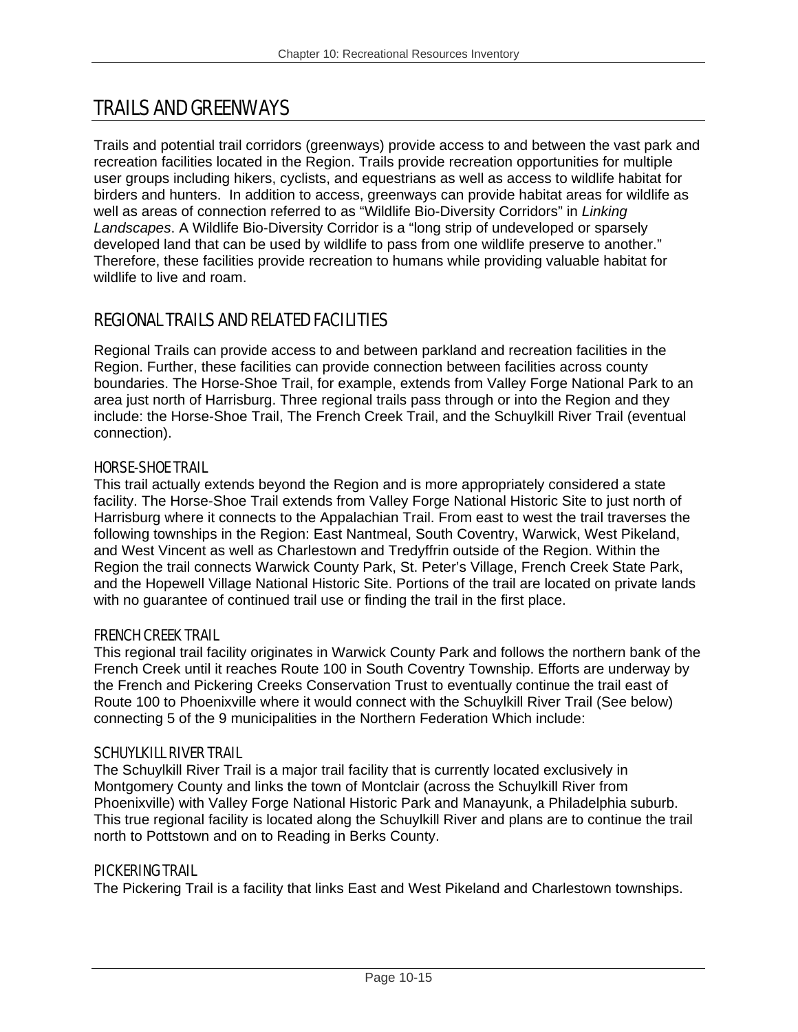# TRAILS AND GREENWAYS

Trails and potential trail corridors (greenways) provide access to and between the vast park and recreation facilities located in the Region. Trails provide recreation opportunities for multiple user groups including hikers, cyclists, and equestrians as well as access to wildlife habitat for birders and hunters. In addition to access, greenways can provide habitat areas for wildlife as well as areas of connection referred to as "Wildlife Bio-Diversity Corridors" in *Linking Landscapes*. A Wildlife Bio-Diversity Corridor is a "long strip of undeveloped or sparsely developed land that can be used by wildlife to pass from one wildlife preserve to another." Therefore, these facilities provide recreation to humans while providing valuable habitat for wildlife to live and roam.

## REGIONAL TRAILS AND RELATED FACILITIES

Regional Trails can provide access to and between parkland and recreation facilities in the Region. Further, these facilities can provide connection between facilities across county boundaries. The Horse-Shoe Trail, for example, extends from Valley Forge National Park to an area just north of Harrisburg. Three regional trails pass through or into the Region and they include: the Horse-Shoe Trail, The French Creek Trail, and the Schuylkill River Trail (eventual connection).

#### HORSE-SHOE TRAIL

This trail actually extends beyond the Region and is more appropriately considered a state facility. The Horse-Shoe Trail extends from Valley Forge National Historic Site to just north of Harrisburg where it connects to the Appalachian Trail. From east to west the trail traverses the following townships in the Region: East Nantmeal, South Coventry, Warwick, West Pikeland, and West Vincent as well as Charlestown and Tredyffrin outside of the Region. Within the Region the trail connects Warwick County Park, St. Peter's Village, French Creek State Park, and the Hopewell Village National Historic Site. Portions of the trail are located on private lands with no guarantee of continued trail use or finding the trail in the first place.

#### FRENCH CREEK TRAIL

This regional trail facility originates in Warwick County Park and follows the northern bank of the French Creek until it reaches Route 100 in South Coventry Township. Efforts are underway by the French and Pickering Creeks Conservation Trust to eventually continue the trail east of Route 100 to Phoenixville where it would connect with the Schuylkill River Trail (See below) connecting 5 of the 9 municipalities in the Northern Federation Which include:

#### SCHUYLKILL RIVER TRAIL

The Schuylkill River Trail is a major trail facility that is currently located exclusively in Montgomery County and links the town of Montclair (across the Schuylkill River from Phoenixville) with Valley Forge National Historic Park and Manayunk, a Philadelphia suburb. This true regional facility is located along the Schuylkill River and plans are to continue the trail north to Pottstown and on to Reading in Berks County.

#### PICKERING TRAIL

The Pickering Trail is a facility that links East and West Pikeland and Charlestown townships.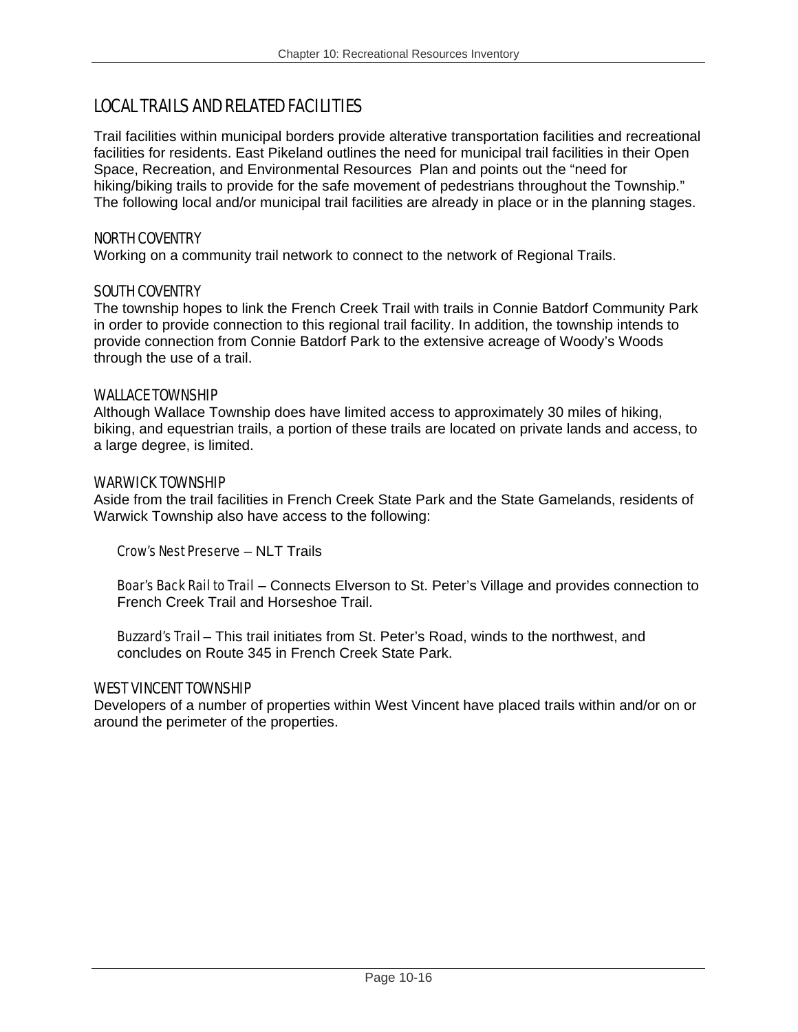## LOCAL TRAILS AND RELATED FACILITIES

Trail facilities within municipal borders provide alterative transportation facilities and recreational facilities for residents. East Pikeland outlines the need for municipal trail facilities in their Open Space, Recreation, and Environmental Resources Plan and points out the "need for hiking/biking trails to provide for the safe movement of pedestrians throughout the Township." The following local and/or municipal trail facilities are already in place or in the planning stages.

#### NORTH COVENTRY

Working on a community trail network to connect to the network of Regional Trails.

#### SOUTH COVENTRY

The township hopes to link the French Creek Trail with trails in Connie Batdorf Community Park in order to provide connection to this regional trail facility. In addition, the township intends to provide connection from Connie Batdorf Park to the extensive acreage of Woody's Woods through the use of a trail.

#### WALLACE TOWNSHIP

Although Wallace Township does have limited access to approximately 30 miles of hiking, biking, and equestrian trails, a portion of these trails are located on private lands and access, to a large degree, is limited.

#### WARWICK TOWNSHIP

Aside from the trail facilities in French Creek State Park and the State Gamelands, residents of Warwick Township also have access to the following:

Crow's Nest Preserve – NLT Trails

**Boar's Back Rail to Trail** – Connects Elverson to St. Peter's Village and provides connection to French Creek Trail and Horseshoe Trail.

Buzzard's Trail - This trail initiates from St. Peter's Road, winds to the northwest, and concludes on Route 345 in French Creek State Park.

#### WEST VINCENT TOWNSHIP

Developers of a number of properties within West Vincent have placed trails within and/or on or around the perimeter of the properties.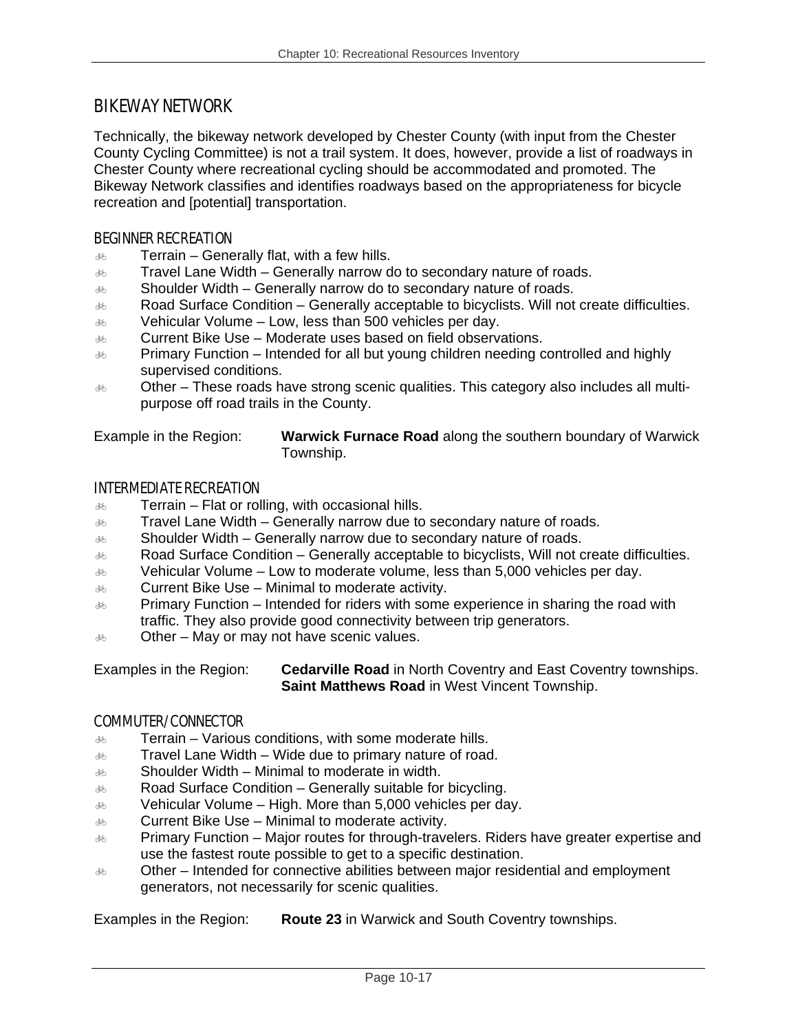### BIKEWAY NETWORK

Technically, the bikeway network developed by Chester County (with input from the Chester County Cycling Committee) is not a trail system. It does, however, provide a list of roadways in Chester County where recreational cycling should be accommodated and promoted. The Bikeway Network classifies and identifies roadways based on the appropriateness for bicycle recreation and [potential] transportation.

#### BEGINNER RECREATION

- $\delta$  Terrain Generally flat, with a few hills.
- $\delta$  Travel Lane Width Generally narrow do to secondary nature of roads.
- $\delta$  Shoulder Width Generally narrow do to secondary nature of roads.
- $\delta$  Road Surface Condition Generally acceptable to bicyclists. Will not create difficulties.
- $\delta$  Vehicular Volume Low, less than 500 vehicles per day.
- $\delta$  Current Bike Use Moderate uses based on field observations.
- $\frac{36}{100}$  Primary Function Intended for all but young children needing controlled and highly supervised conditions.
- $\delta$  Other These roads have strong scenic qualities. This category also includes all multipurpose off road trails in the County.

Example in the Region: **Warwick Furnace Road** along the southern boundary of Warwick Township.

#### INTERMEDIATE RECREATION

- $\delta$  Terrain Flat or rolling, with occasional hills.
- $\delta$  Travel Lane Width Generally narrow due to secondary nature of roads.
- $\delta$  Shoulder Width Generally narrow due to secondary nature of roads.
- $\delta$  Road Surface Condition Generally acceptable to bicyclists, Will not create difficulties.
- $\delta$  Vehicular Volume Low to moderate volume, less than 5,000 vehicles per day.
- $\delta$ <sub> $\delta$ </sub> Current Bike Use Minimal to moderate activity.
- $\frac{1}{200}$  Primary Function Intended for riders with some experience in sharing the road with traffic. They also provide good connectivity between trip generators.
- $\delta$  Other May or may not have scenic values.

Examples in the Region: **Cedarville Road** in North Coventry and East Coventry townships. **Saint Matthews Road** in West Vincent Township.

#### COMMUTER/CONNECTOR

- $\delta$  Terrain Various conditions, with some moderate hills.
- $\frac{1}{200}$  Travel Lane Width Wide due to primary nature of road.
- $\frac{1}{200}$  Shoulder Width Minimal to moderate in width.
- $\delta$  Road Surface Condition Generally suitable for bicycling.
- $\delta$  Vehicular Volume High. More than 5,000 vehicles per day.
- $\delta$  Current Bike Use Minimal to moderate activity.
- $\delta$  Primary Function Major routes for through-travelers. Riders have greater expertise and use the fastest route possible to get to a specific destination.
- $\delta$  Other Intended for connective abilities between major residential and employment generators, not necessarily for scenic qualities.

Examples in the Region: **Route 23** in Warwick and South Coventry townships.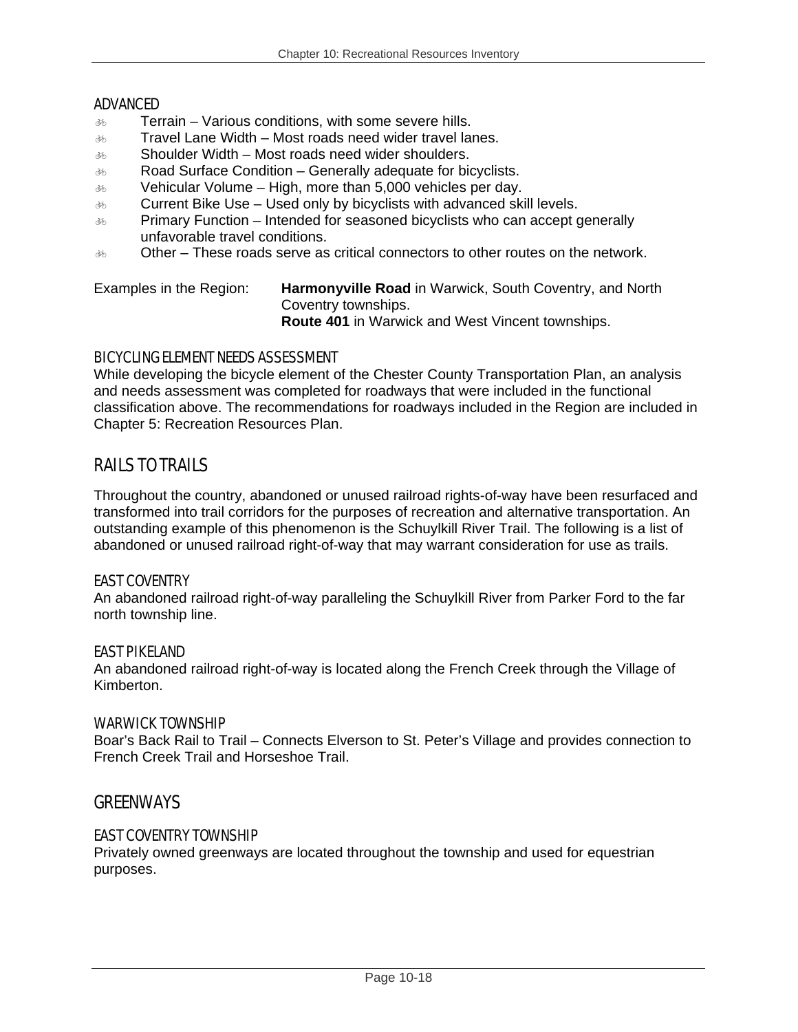#### ADVANCED

- $\delta$  Terrain Various conditions, with some severe hills.
- $\delta$  Travel Lane Width Most roads need wider travel lanes.
- $\delta$  Shoulder Width Most roads need wider shoulders.
- $\delta$  Road Surface Condition Generally adequate for bicyclists.
- $\delta$  Vehicular Volume High, more than 5,000 vehicles per day.
- $\delta$  Current Bike Use Used only by bicyclists with advanced skill levels.
- $\delta$  Primary Function Intended for seasoned bicyclists who can accept generally unfavorable travel conditions.
- $\delta$  Other These roads serve as critical connectors to other routes on the network.

Examples in the Region: **Harmonyville Road** in Warwick, South Coventry, and North Coventry townships. **Route 401** in Warwick and West Vincent townships.

#### BICYCLING ELEMENT NEEDS ASSESSMENT

While developing the bicycle element of the Chester County Transportation Plan, an analysis and needs assessment was completed for roadways that were included in the functional classification above. The recommendations for roadways included in the Region are included in Chapter 5: Recreation Resources Plan.

## RAILS TO TRAILS

Throughout the country, abandoned or unused railroad rights-of-way have been resurfaced and transformed into trail corridors for the purposes of recreation and alternative transportation. An outstanding example of this phenomenon is the Schuylkill River Trail. The following is a list of abandoned or unused railroad right-of-way that may warrant consideration for use as trails.

#### EAST COVENTRY

An abandoned railroad right-of-way paralleling the Schuylkill River from Parker Ford to the far north township line.

#### EAST PIKELAND

An abandoned railroad right-of-way is located along the French Creek through the Village of Kimberton.

#### WARWICK TOWNSHIP

Boar's Back Rail to Trail – Connects Elverson to St. Peter's Village and provides connection to French Creek Trail and Horseshoe Trail.

### **GREENWAYS**

#### EAST COVENTRY TOWNSHIP

Privately owned greenways are located throughout the township and used for equestrian purposes.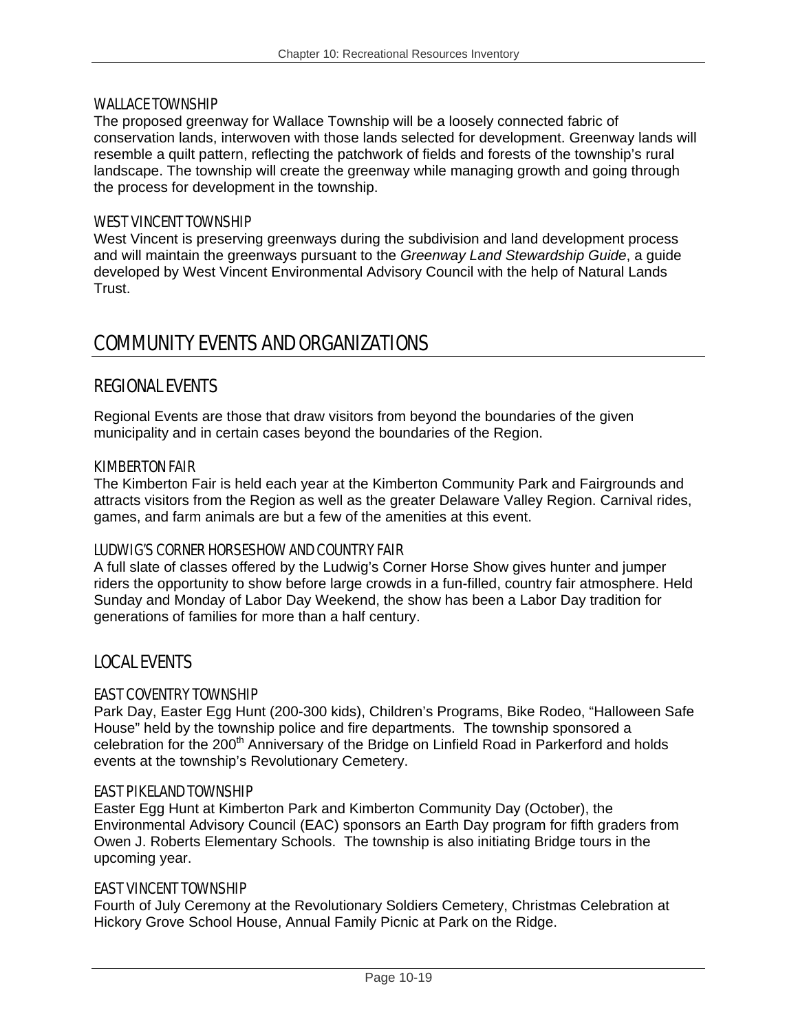#### WALLACE TOWNSHIP

The proposed greenway for Wallace Township will be a loosely connected fabric of conservation lands, interwoven with those lands selected for development. Greenway lands will resemble a quilt pattern, reflecting the patchwork of fields and forests of the township's rural landscape. The township will create the greenway while managing growth and going through the process for development in the township.

#### WEST VINCENT TOWNSHIP

West Vincent is preserving greenways during the subdivision and land development process and will maintain the greenways pursuant to the *Greenway Land Stewardship Guide*, a guide developed by West Vincent Environmental Advisory Council with the help of Natural Lands Trust.

## COMMUNITY EVENTS AND ORGANIZATIONS

## REGIONAL EVENTS

Regional Events are those that draw visitors from beyond the boundaries of the given municipality and in certain cases beyond the boundaries of the Region.

#### KIMBERTON FAIR

The Kimberton Fair is held each year at the Kimberton Community Park and Fairgrounds and attracts visitors from the Region as well as the greater Delaware Valley Region. Carnival rides, games, and farm animals are but a few of the amenities at this event.

#### LUDWIG'S CORNER HORSESHOW AND COUNTRY FAIR

A full slate of classes offered by the Ludwig's Corner Horse Show gives hunter and jumper riders the opportunity to show before large crowds in a fun-filled, country fair atmosphere. Held Sunday and Monday of Labor Day Weekend, the show has been a Labor Day tradition for generations of families for more than a half century.

### LOCAL EVENTS

#### EAST COVENTRY TOWNSHIP

Park Day, Easter Egg Hunt (200-300 kids), Children's Programs, Bike Rodeo, "Halloween Safe House" held by the township police and fire departments. The township sponsored a celebration for the 200<sup>th</sup> Anniversary of the Bridge on Linfield Road in Parkerford and holds events at the township's Revolutionary Cemetery.

#### EAST PIKELAND TOWNSHIP

Easter Egg Hunt at Kimberton Park and Kimberton Community Day (October), the Environmental Advisory Council (EAC) sponsors an Earth Day program for fifth graders from Owen J. Roberts Elementary Schools. The township is also initiating Bridge tours in the upcoming year.

#### EAST VINCENT TOWNSHIP

Fourth of July Ceremony at the Revolutionary Soldiers Cemetery, Christmas Celebration at Hickory Grove School House, Annual Family Picnic at Park on the Ridge.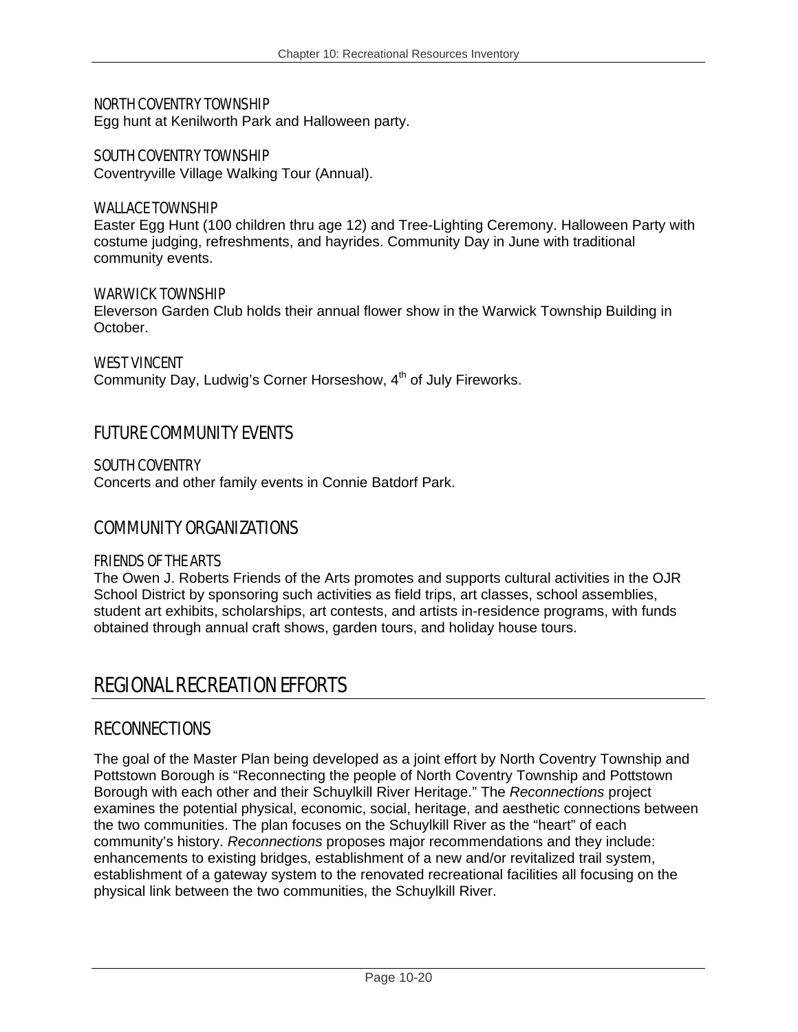#### NORTH COVENTRY TOWNSHIP

Egg hunt at Kenilworth Park and Halloween party.

#### SOUTH COVENTRY TOWNSHIP

Coventryville Village Walking Tour (Annual).

#### WALLACE TOWNSHIP

Easter Egg Hunt (100 children thru age 12) and Tree-Lighting Ceremony. Halloween Party with costume judging, refreshments, and hayrides. Community Day in June with traditional community events.

#### WARWICK TOWNSHIP

Eleverson Garden Club holds their annual flower show in the Warwick Township Building in October.

#### WEST VINCENT

Community Day, Ludwig's Corner Horseshow, 4<sup>th</sup> of July Fireworks.

### FUTURE COMMUNITY EVENTS

#### SOUTH COVENTRY

Concerts and other family events in Connie Batdorf Park.

#### COMMUNITY ORGANIZATIONS

#### FRIENDS OF THE ARTS

The Owen J. Roberts Friends of the Arts promotes and supports cultural activities in the OJR School District by sponsoring such activities as field trips, art classes, school assemblies, student art exhibits, scholarships, art contests, and artists in-residence programs, with funds obtained through annual craft shows, garden tours, and holiday house tours.

## REGIONAL RECREATION EFFORTS

### **RECONNECTIONS**

The goal of the Master Plan being developed as a joint effort by North Coventry Township and Pottstown Borough is "Reconnecting the people of North Coventry Township and Pottstown Borough with each other and their Schuylkill River Heritage." The *Reconnections* project examines the potential physical, economic, social, heritage, and aesthetic connections between the two communities. The plan focuses on the Schuylkill River as the "heart" of each community's history. *Reconnections* proposes major recommendations and they include: enhancements to existing bridges, establishment of a new and/or revitalized trail system, establishment of a gateway system to the renovated recreational facilities all focusing on the physical link between the two communities, the Schuylkill River.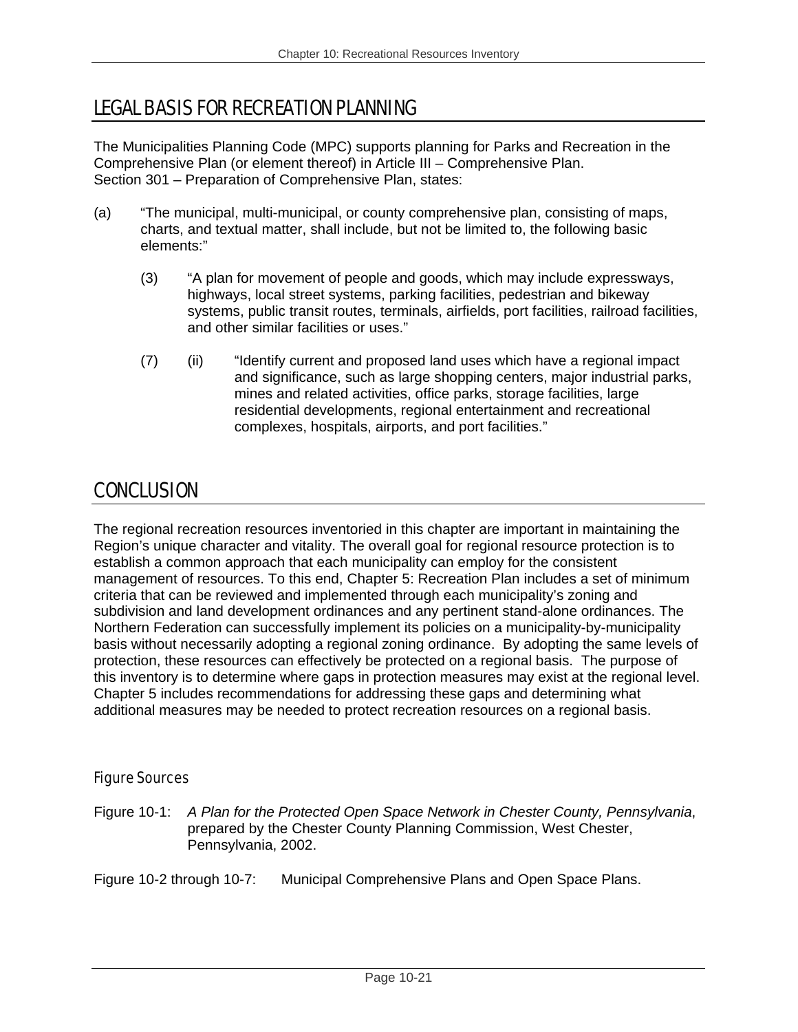# LEGAL BASIS FOR RECREATION PLANNING

The Municipalities Planning Code (MPC) supports planning for Parks and Recreation in the Comprehensive Plan (or element thereof) in Article III – Comprehensive Plan. Section 301 – Preparation of Comprehensive Plan, states:

- (a) "The municipal, multi-municipal, or county comprehensive plan, consisting of maps, charts, and textual matter, shall include, but not be limited to, the following basic elements:"
	- (3) "A plan for movement of people and goods, which may include expressways, highways, local street systems, parking facilities, pedestrian and bikeway systems, public transit routes, terminals, airfields, port facilities, railroad facilities, and other similar facilities or uses."
	- (7) (ii) "Identify current and proposed land uses which have a regional impact and significance, such as large shopping centers, major industrial parks, mines and related activities, office parks, storage facilities, large residential developments, regional entertainment and recreational complexes, hospitals, airports, and port facilities."

# CONCLUSION

The regional recreation resources inventoried in this chapter are important in maintaining the Region's unique character and vitality. The overall goal for regional resource protection is to establish a common approach that each municipality can employ for the consistent management of resources. To this end, Chapter 5: Recreation Plan includes a set of minimum criteria that can be reviewed and implemented through each municipality's zoning and subdivision and land development ordinances and any pertinent stand-alone ordinances. The Northern Federation can successfully implement its policies on a municipality-by-municipality basis without necessarily adopting a regional zoning ordinance. By adopting the same levels of protection, these resources can effectively be protected on a regional basis. The purpose of this inventory is to determine where gaps in protection measures may exist at the regional level. Chapter 5 includes recommendations for addressing these gaps and determining what additional measures may be needed to protect recreation resources on a regional basis.

### Figure Sources

Figure 10-1: *A Plan for the Protected Open Space Network in Chester County, Pennsylvania*, prepared by the Chester County Planning Commission, West Chester, Pennsylvania, 2002.

Figure 10-2 through 10-7: Municipal Comprehensive Plans and Open Space Plans.